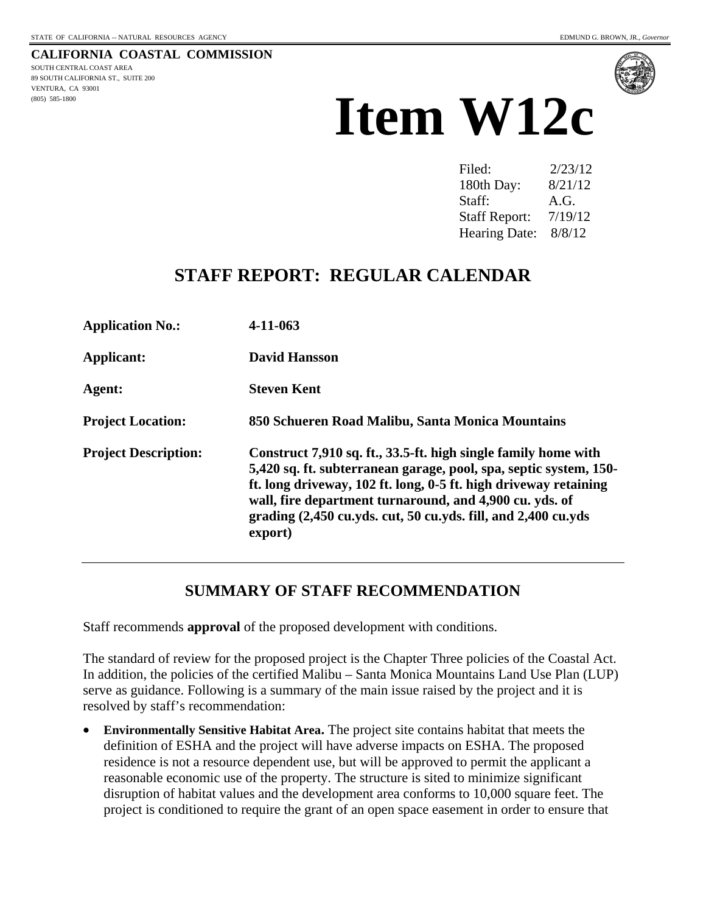**CALIFORNIA COASTAL COMMISSION**  SOUTH CENTRAL COAST AREA 89 SOUTH CALIFORNIA ST., SUITE 200 VENTURA, CA 93001 (805) 585-1800



# **Item W12c**

| Filed:               | 2/23/12 |
|----------------------|---------|
| 180th Day:           | 8/21/12 |
| Staff:               | A.G.    |
| <b>Staff Report:</b> | 7/19/12 |
| <b>Hearing Date:</b> | 8/8/12  |

## **STAFF REPORT: REGULAR CALENDAR**

| <b>Application No.:</b>     | $4 - 11 - 063$                                                                                                                                                                                                                                                                                                                                 |
|-----------------------------|------------------------------------------------------------------------------------------------------------------------------------------------------------------------------------------------------------------------------------------------------------------------------------------------------------------------------------------------|
| <b>Applicant:</b>           | <b>David Hansson</b>                                                                                                                                                                                                                                                                                                                           |
| Agent:                      | <b>Steven Kent</b>                                                                                                                                                                                                                                                                                                                             |
| <b>Project Location:</b>    | 850 Schueren Road Malibu, Santa Monica Mountains                                                                                                                                                                                                                                                                                               |
| <b>Project Description:</b> | Construct 7,910 sq. ft., 33.5-ft. high single family home with<br>5,420 sq. ft. subterranean garage, pool, spa, septic system, 150-<br>ft. long driveway, 102 ft. long, 0-5 ft. high driveway retaining<br>wall, fire department turnaround, and 4,900 cu. yds. of<br>grading (2,450 cu.yds. cut, 50 cu.yds. fill, and 2,400 cu.yds<br>export) |

### **SUMMARY OF STAFF RECOMMENDATION**

Staff recommends **approval** of the proposed development with conditions.

The standard of review for the proposed project is the Chapter Three policies of the Coastal Act. In addition, the policies of the certified Malibu – Santa Monica Mountains Land Use Plan (LUP) serve as guidance. Following is a summary of the main issue raised by the project and it is resolved by staff's recommendation:

 **Environmentally Sensitive Habitat Area.** The project site contains habitat that meets the definition of ESHA and the project will have adverse impacts on ESHA. The proposed residence is not a resource dependent use, but will be approved to permit the applicant a reasonable economic use of the property. The structure is sited to minimize significant disruption of habitat values and the development area conforms to 10,000 square feet. The project is conditioned to require the grant of an open space easement in order to ensure that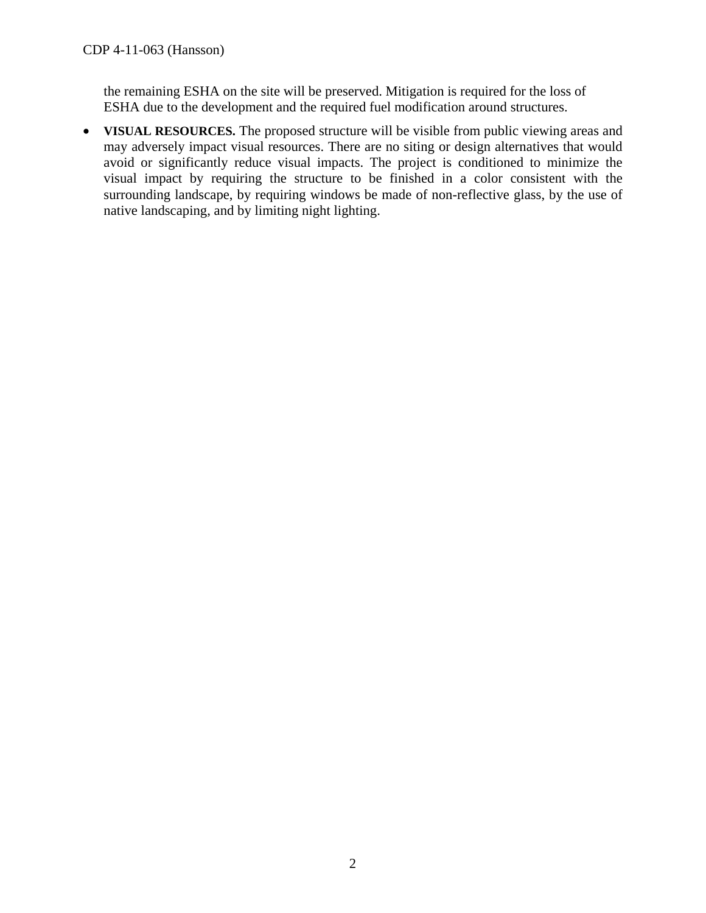the remaining ESHA on the site will be preserved. Mitigation is required for the loss of ESHA due to the development and the required fuel modification around structures.

 **VISUAL RESOURCES.** The proposed structure will be visible from public viewing areas and may adversely impact visual resources. There are no siting or design alternatives that would avoid or significantly reduce visual impacts. The project is conditioned to minimize the visual impact by requiring the structure to be finished in a color consistent with the surrounding landscape, by requiring windows be made of non-reflective glass, by the use of native landscaping, and by limiting night lighting.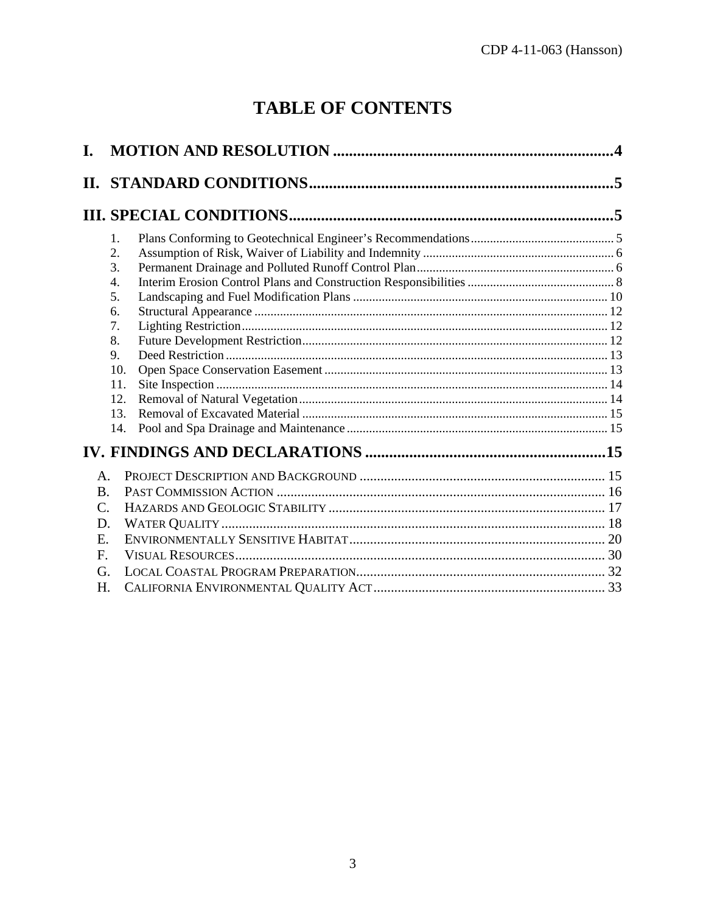## **TABLE OF CONTENTS**

| 1.              |  |
|-----------------|--|
| 2.              |  |
| 3.              |  |
| 4.              |  |
| 5.              |  |
| 6.              |  |
| 7.              |  |
| 8.              |  |
| 9.              |  |
| 10.             |  |
| 11.             |  |
| 12.             |  |
| 13.             |  |
| 14.             |  |
|                 |  |
| $\mathbf{A}$    |  |
| $\bf{B}$ .      |  |
| $\mathcal{C}$ . |  |
| D.              |  |
| E.              |  |
| F.              |  |
| G.              |  |
| H.              |  |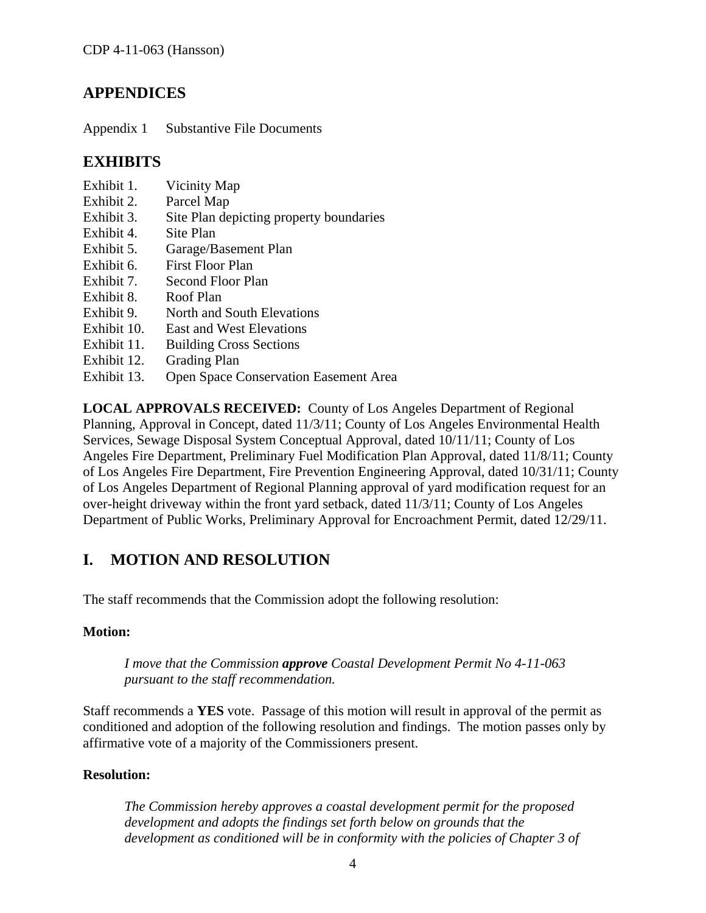## **APPENDICES**

Appendix 1 Substantive File Documents

## **EXHIBITS**

- Exhibit 1. Vicinity Map
- Exhibit 2. Parcel Map
- Exhibit 3. Site Plan depicting property boundaries
- Exhibit 4. Site Plan
- Exhibit 5. Garage/Basement Plan
- Exhibit 6. First Floor Plan
- Exhibit 7. Second Floor Plan
- Exhibit 8. Roof Plan
- Exhibit 9. North and South Elevations
- Exhibit 10. East and West Elevations
- Exhibit 11. Building Cross Sections
- Exhibit 12. Grading Plan
- Exhibit 13. Open Space Conservation Easement Area

**LOCAL APPROVALS RECEIVED:** County of Los Angeles Department of Regional Planning, Approval in Concept, dated 11/3/11; County of Los Angeles Environmental Health Services, Sewage Disposal System Conceptual Approval, dated 10/11/11; County of Los Angeles Fire Department, Preliminary Fuel Modification Plan Approval, dated 11/8/11; County of Los Angeles Fire Department, Fire Prevention Engineering Approval, dated 10/31/11; County of Los Angeles Department of Regional Planning approval of yard modification request for an over-height driveway within the front yard setback, dated 11/3/11; County of Los Angeles Department of Public Works, Preliminary Approval for Encroachment Permit, dated 12/29/11.

## <span id="page-3-0"></span>**I. MOTION AND RESOLUTION**

The staff recommends that the Commission adopt the following resolution:

#### **Motion:**

*I move that the Commission approve Coastal Development Permit No 4-11-063 pursuant to the staff recommendation.* 

Staff recommends a **YES** vote. Passage of this motion will result in approval of the permit as conditioned and adoption of the following resolution and findings. The motion passes only by affirmative vote of a majority of the Commissioners present.

#### <span id="page-3-1"></span>**Resolution:**

*The Commission hereby approves a coastal development permit for the proposed development and adopts the findings set forth below on grounds that the development as conditioned will be in conformity with the policies of Chapter 3 of*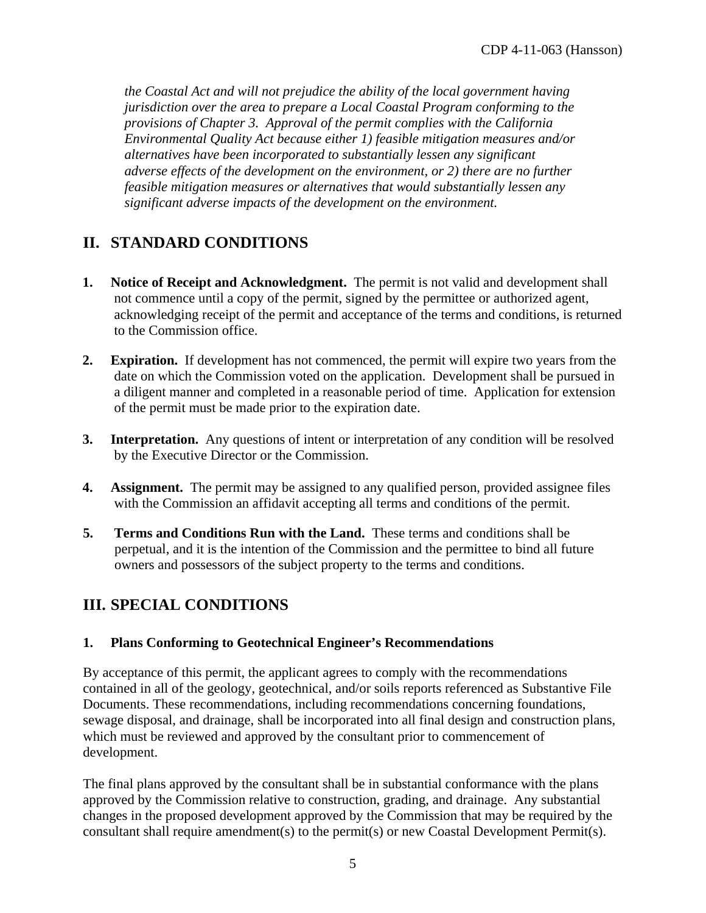*the Coastal Act and will not prejudice the ability of the local government having jurisdiction over the area to prepare a Local Coastal Program conforming to the provisions of Chapter 3. Approval of the permit complies with the California Environmental Quality Act because either 1) feasible mitigation measures and/or alternatives have been incorporated to substantially lessen any significant adverse effects of the development on the environment, or 2) there are no further feasible mitigation measures or alternatives that would substantially lessen any significant adverse impacts of the development on the environment.* 

## <span id="page-4-0"></span>**II. STANDARD CONDITIONS**

- **1. Notice of Receipt and Acknowledgment.** The permit is not valid and development shall not commence until a copy of the permit, signed by the permittee or authorized agent, acknowledging receipt of the permit and acceptance of the terms and conditions, is returned to the Commission office.
- **2. Expiration.** If development has not commenced, the permit will expire two years from the date on which the Commission voted on the application. Development shall be pursued in a diligent manner and completed in a reasonable period of time. Application for extension of the permit must be made prior to the expiration date.
- **3.** Interpretation. Any questions of intent or interpretation of any condition will be resolved by the Executive Director or the Commission.
- **4. Assignment.** The permit may be assigned to any qualified person, provided assignee files with the Commission an affidavit accepting all terms and conditions of the permit.
- **5. Terms and Conditions Run with the Land.** These terms and conditions shall be perpetual, and it is the intention of the Commission and the permittee to bind all future owners and possessors of the subject property to the terms and conditions.

## <span id="page-4-1"></span>**III. SPECIAL CONDITIONS**

#### <span id="page-4-2"></span>**1. Plans Conforming to Geotechnical Engineer's Recommendations**

By acceptance of this permit, the applicant agrees to comply with the recommendations contained in all of the geology, geotechnical, and/or soils reports referenced as Substantive File Documents. These recommendations, including recommendations concerning foundations, sewage disposal, and drainage, shall be incorporated into all final design and construction plans, which must be reviewed and approved by the consultant prior to commencement of development.

The final plans approved by the consultant shall be in substantial conformance with the plans approved by the Commission relative to construction, grading, and drainage. Any substantial changes in the proposed development approved by the Commission that may be required by the consultant shall require amendment(s) to the permit(s) or new Coastal Development Permit(s).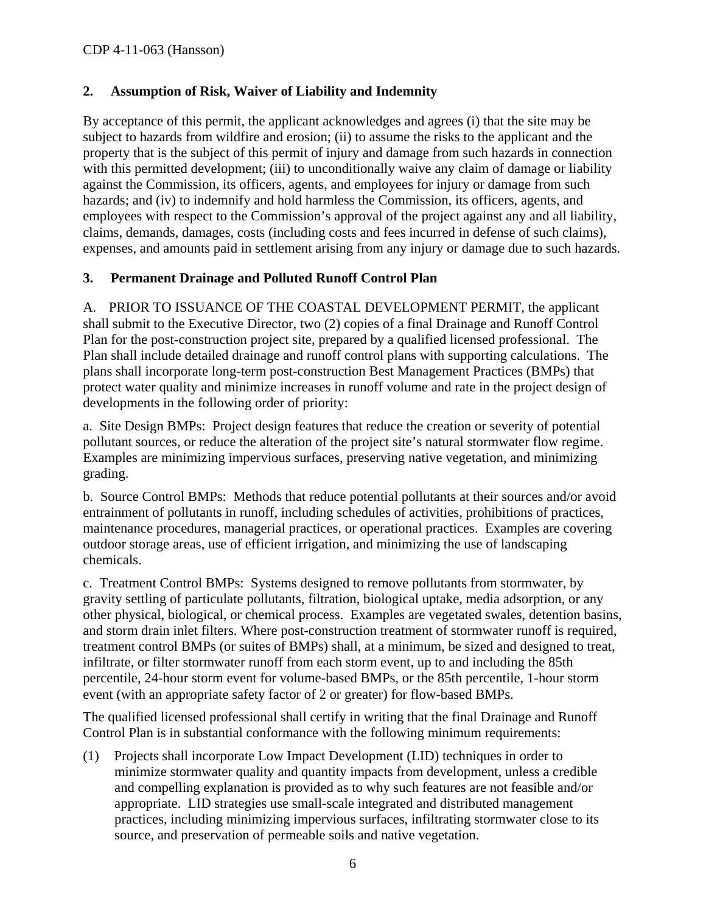#### <span id="page-5-0"></span>**2. Assumption of Risk, Waiver of Liability and Indemnity**

By acceptance of this permit, the applicant acknowledges and agrees (i) that the site may be subject to hazards from wildfire and erosion; (ii) to assume the risks to the applicant and the property that is the subject of this permit of injury and damage from such hazards in connection with this permitted development; (iii) to unconditionally waive any claim of damage or liability against the Commission, its officers, agents, and employees for injury or damage from such hazards; and (iv) to indemnify and hold harmless the Commission, its officers, agents, and employees with respect to the Commission's approval of the project against any and all liability, claims, demands, damages, costs (including costs and fees incurred in defense of such claims), expenses, and amounts paid in settlement arising from any injury or damage due to such hazards.

#### <span id="page-5-1"></span>**3. Permanent Drainage and Polluted Runoff Control Plan**

A. PRIOR TO ISSUANCE OF THE COASTAL DEVELOPMENT PERMIT, the applicant shall submit to the Executive Director, two (2) copies of a final Drainage and Runoff Control Plan for the post-construction project site, prepared by a qualified licensed professional. The Plan shall include detailed drainage and runoff control plans with supporting calculations. The plans shall incorporate long-term post-construction Best Management Practices (BMPs) that protect water quality and minimize increases in runoff volume and rate in the project design of developments in the following order of priority:

a. Site Design BMPs: Project design features that reduce the creation or severity of potential pollutant sources, or reduce the alteration of the project site's natural stormwater flow regime. Examples are minimizing impervious surfaces, preserving native vegetation, and minimizing grading.

b. Source Control BMPs: Methods that reduce potential pollutants at their sources and/or avoid entrainment of pollutants in runoff, including schedules of activities, prohibitions of practices, maintenance procedures, managerial practices, or operational practices. Examples are covering outdoor storage areas, use of efficient irrigation, and minimizing the use of landscaping chemicals.

c. Treatment Control BMPs: Systems designed to remove pollutants from stormwater, by gravity settling of particulate pollutants, filtration, biological uptake, media adsorption, or any other physical, biological, or chemical process. Examples are vegetated swales, detention basins, and storm drain inlet filters. Where post-construction treatment of stormwater runoff is required, treatment control BMPs (or suites of BMPs) shall, at a minimum, be sized and designed to treat, infiltrate, or filter stormwater runoff from each storm event, up to and including the 85th percentile, 24-hour storm event for volume-based BMPs, or the 85th percentile, 1-hour storm event (with an appropriate safety factor of 2 or greater) for flow-based BMPs.

The qualified licensed professional shall certify in writing that the final Drainage and Runoff Control Plan is in substantial conformance with the following minimum requirements:

(1) Projects shall incorporate Low Impact Development (LID) techniques in order to minimize stormwater quality and quantity impacts from development, unless a credible and compelling explanation is provided as to why such features are not feasible and/or appropriate. LID strategies use small-scale integrated and distributed management practices, including minimizing impervious surfaces, infiltrating stormwater close to its source, and preservation of permeable soils and native vegetation.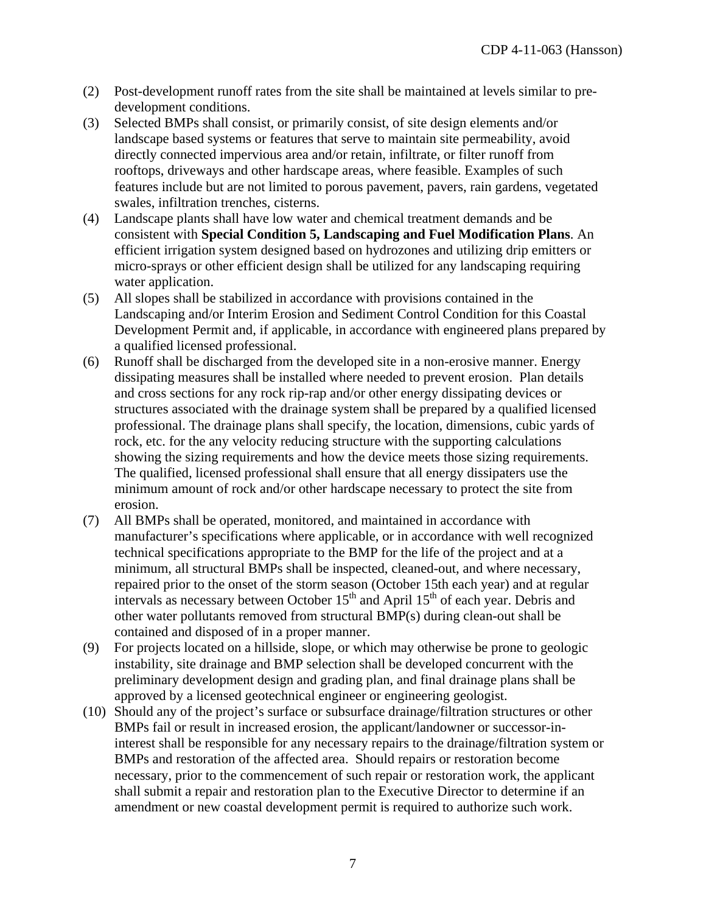- (2) Post-development runoff rates from the site shall be maintained at levels similar to predevelopment conditions.
- (3) Selected BMPs shall consist, or primarily consist, of site design elements and/or landscape based systems or features that serve to maintain site permeability, avoid directly connected impervious area and/or retain, infiltrate, or filter runoff from rooftops, driveways and other hardscape areas, where feasible. Examples of such features include but are not limited to porous pavement, pavers, rain gardens, vegetated swales, infiltration trenches, cisterns.
- (4) Landscape plants shall have low water and chemical treatment demands and be consistent with **Special Condition 5, Landscaping and Fuel Modification Plans**. An efficient irrigation system designed based on hydrozones and utilizing drip emitters or micro-sprays or other efficient design shall be utilized for any landscaping requiring water application.
- (5) All slopes shall be stabilized in accordance with provisions contained in the Landscaping and/or Interim Erosion and Sediment Control Condition for this Coastal Development Permit and, if applicable, in accordance with engineered plans prepared by a qualified licensed professional.
- (6) Runoff shall be discharged from the developed site in a non-erosive manner. Energy dissipating measures shall be installed where needed to prevent erosion. Plan details and cross sections for any rock rip-rap and/or other energy dissipating devices or structures associated with the drainage system shall be prepared by a qualified licensed professional. The drainage plans shall specify, the location, dimensions, cubic yards of rock, etc. for the any velocity reducing structure with the supporting calculations showing the sizing requirements and how the device meets those sizing requirements. The qualified, licensed professional shall ensure that all energy dissipaters use the minimum amount of rock and/or other hardscape necessary to protect the site from erosion.
- (7) All BMPs shall be operated, monitored, and maintained in accordance with manufacturer's specifications where applicable, or in accordance with well recognized technical specifications appropriate to the BMP for the life of the project and at a minimum, all structural BMPs shall be inspected, cleaned-out, and where necessary, repaired prior to the onset of the storm season (October 15th each year) and at regular intervals as necessary between October  $15<sup>th</sup>$  and April  $15<sup>th</sup>$  of each year. Debris and other water pollutants removed from structural BMP(s) during clean-out shall be contained and disposed of in a proper manner.
- (9) For projects located on a hillside, slope, or which may otherwise be prone to geologic instability, site drainage and BMP selection shall be developed concurrent with the preliminary development design and grading plan, and final drainage plans shall be approved by a licensed geotechnical engineer or engineering geologist.
- (10) Should any of the project's surface or subsurface drainage/filtration structures or other BMPs fail or result in increased erosion, the applicant/landowner or successor-ininterest shall be responsible for any necessary repairs to the drainage/filtration system or BMPs and restoration of the affected area. Should repairs or restoration become necessary, prior to the commencement of such repair or restoration work, the applicant shall submit a repair and restoration plan to the Executive Director to determine if an amendment or new coastal development permit is required to authorize such work.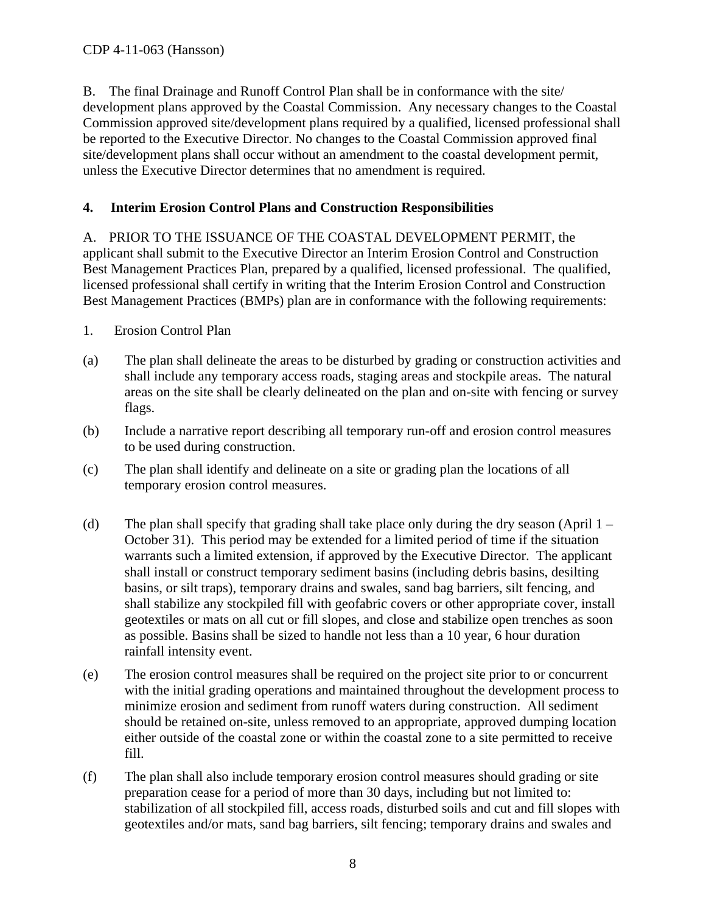B. The final Drainage and Runoff Control Plan shall be in conformance with the site/ development plans approved by the Coastal Commission. Any necessary changes to the Coastal Commission approved site/development plans required by a qualified, licensed professional shall be reported to the Executive Director. No changes to the Coastal Commission approved final site/development plans shall occur without an amendment to the coastal development permit, unless the Executive Director determines that no amendment is required.

#### <span id="page-7-0"></span>**4. Interim Erosion Control Plans and Construction Responsibilities**

A. PRIOR TO THE ISSUANCE OF THE COASTAL DEVELOPMENT PERMIT, the applicant shall submit to the Executive Director an Interim Erosion Control and Construction Best Management Practices Plan, prepared by a qualified, licensed professional. The qualified, licensed professional shall certify in writing that the Interim Erosion Control and Construction Best Management Practices (BMPs) plan are in conformance with the following requirements:

- 1. Erosion Control Plan
- (a) The plan shall delineate the areas to be disturbed by grading or construction activities and shall include any temporary access roads, staging areas and stockpile areas. The natural areas on the site shall be clearly delineated on the plan and on-site with fencing or survey flags.
- (b) Include a narrative report describing all temporary run-off and erosion control measures to be used during construction.
- (c) The plan shall identify and delineate on a site or grading plan the locations of all temporary erosion control measures.
- (d) The plan shall specify that grading shall take place only during the dry season (April  $1 -$ October 31). This period may be extended for a limited period of time if the situation warrants such a limited extension, if approved by the Executive Director. The applicant shall install or construct temporary sediment basins (including debris basins, desilting basins, or silt traps), temporary drains and swales, sand bag barriers, silt fencing, and shall stabilize any stockpiled fill with geofabric covers or other appropriate cover, install geotextiles or mats on all cut or fill slopes, and close and stabilize open trenches as soon as possible. Basins shall be sized to handle not less than a 10 year, 6 hour duration rainfall intensity event.
- (e) The erosion control measures shall be required on the project site prior to or concurrent with the initial grading operations and maintained throughout the development process to minimize erosion and sediment from runoff waters during construction. All sediment should be retained on-site, unless removed to an appropriate, approved dumping location either outside of the coastal zone or within the coastal zone to a site permitted to receive fill.
- (f) The plan shall also include temporary erosion control measures should grading or site preparation cease for a period of more than 30 days, including but not limited to: stabilization of all stockpiled fill, access roads, disturbed soils and cut and fill slopes with geotextiles and/or mats, sand bag barriers, silt fencing; temporary drains and swales and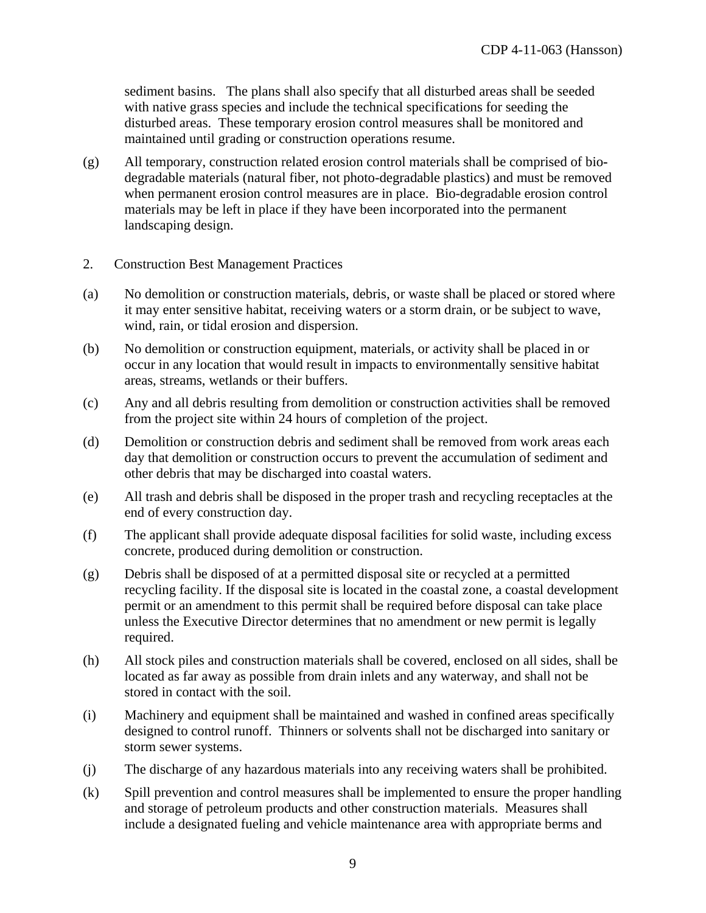sediment basins. The plans shall also specify that all disturbed areas shall be seeded with native grass species and include the technical specifications for seeding the disturbed areas. These temporary erosion control measures shall be monitored and maintained until grading or construction operations resume.

- (g) All temporary, construction related erosion control materials shall be comprised of biodegradable materials (natural fiber, not photo-degradable plastics) and must be removed when permanent erosion control measures are in place. Bio-degradable erosion control materials may be left in place if they have been incorporated into the permanent landscaping design.
- 2. Construction Best Management Practices
- (a) No demolition or construction materials, debris, or waste shall be placed or stored where it may enter sensitive habitat, receiving waters or a storm drain, or be subject to wave, wind, rain, or tidal erosion and dispersion.
- (b) No demolition or construction equipment, materials, or activity shall be placed in or occur in any location that would result in impacts to environmentally sensitive habitat areas, streams, wetlands or their buffers.
- (c) Any and all debris resulting from demolition or construction activities shall be removed from the project site within 24 hours of completion of the project.
- (d) Demolition or construction debris and sediment shall be removed from work areas each day that demolition or construction occurs to prevent the accumulation of sediment and other debris that may be discharged into coastal waters.
- (e) All trash and debris shall be disposed in the proper trash and recycling receptacles at the end of every construction day.
- (f) The applicant shall provide adequate disposal facilities for solid waste, including excess concrete, produced during demolition or construction.
- (g) Debris shall be disposed of at a permitted disposal site or recycled at a permitted recycling facility. If the disposal site is located in the coastal zone, a coastal development permit or an amendment to this permit shall be required before disposal can take place unless the Executive Director determines that no amendment or new permit is legally required.
- (h) All stock piles and construction materials shall be covered, enclosed on all sides, shall be located as far away as possible from drain inlets and any waterway, and shall not be stored in contact with the soil.
- (i) Machinery and equipment shall be maintained and washed in confined areas specifically designed to control runoff. Thinners or solvents shall not be discharged into sanitary or storm sewer systems.
- (j) The discharge of any hazardous materials into any receiving waters shall be prohibited.
- (k) Spill prevention and control measures shall be implemented to ensure the proper handling and storage of petroleum products and other construction materials. Measures shall include a designated fueling and vehicle maintenance area with appropriate berms and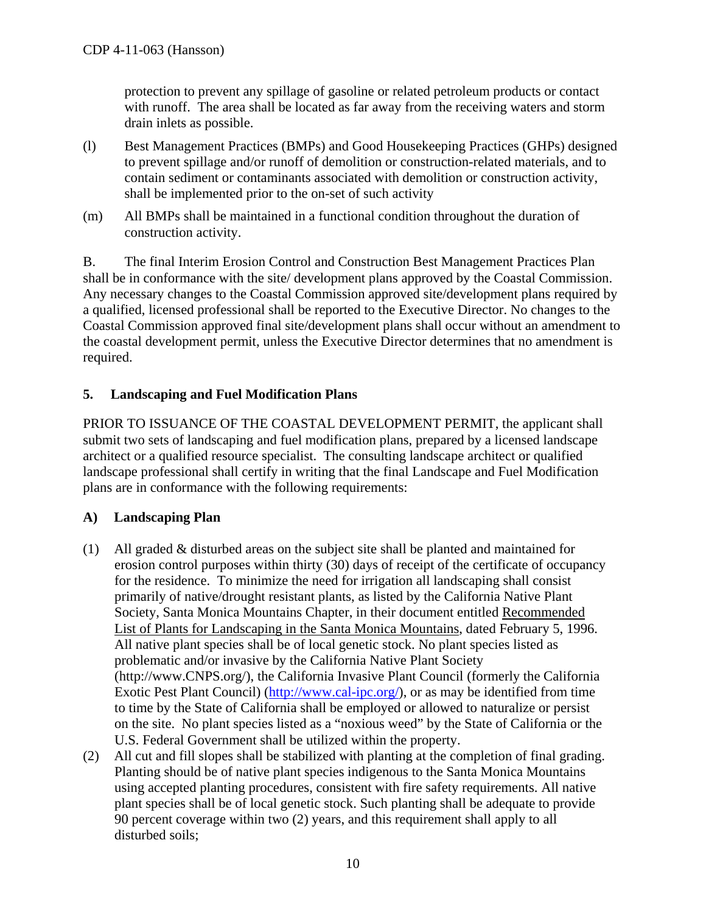protection to prevent any spillage of gasoline or related petroleum products or contact with runoff. The area shall be located as far away from the receiving waters and storm drain inlets as possible.

- (l) Best Management Practices (BMPs) and Good Housekeeping Practices (GHPs) designed to prevent spillage and/or runoff of demolition or construction-related materials, and to contain sediment or contaminants associated with demolition or construction activity, shall be implemented prior to the on-set of such activity
- (m) All BMPs shall be maintained in a functional condition throughout the duration of construction activity.

B. The final Interim Erosion Control and Construction Best Management Practices Plan shall be in conformance with the site/ development plans approved by the Coastal Commission. Any necessary changes to the Coastal Commission approved site/development plans required by a qualified, licensed professional shall be reported to the Executive Director. No changes to the Coastal Commission approved final site/development plans shall occur without an amendment to the coastal development permit, unless the Executive Director determines that no amendment is required.

#### <span id="page-9-0"></span>**5. Landscaping and Fuel Modification Plans**

PRIOR TO ISSUANCE OF THE COASTAL DEVELOPMENT PERMIT, the applicant shall submit two sets of landscaping and fuel modification plans, prepared by a licensed landscape architect or a qualified resource specialist. The consulting landscape architect or qualified landscape professional shall certify in writing that the final Landscape and Fuel Modification plans are in conformance with the following requirements:

#### **A) Landscaping Plan**

- (1) All graded & disturbed areas on the subject site shall be planted and maintained for erosion control purposes within thirty (30) days of receipt of the certificate of occupancy for the residence. To minimize the need for irrigation all landscaping shall consist primarily of native/drought resistant plants, as listed by the California Native Plant Society, Santa Monica Mountains Chapter, in their document entitled Recommended List of Plants for Landscaping in the Santa Monica Mountains, dated February 5, 1996. All native plant species shall be of local genetic stock. No plant species listed as problematic and/or invasive by the California Native Plant Society [\(http://www.CNPS.org/](http://www.cnps.org/)), the California Invasive Plant Council (formerly the California Exotic Pest Plant Council) [\(http://www.cal-ipc.org/\)](http://www.cal-ipc.org/), or as may be identified from time to time by the State of California shall be employed or allowed to naturalize or persist on the site. No plant species listed as a "noxious weed" by the State of California or the U.S. Federal Government shall be utilized within the property.
- (2) All cut and fill slopes shall be stabilized with planting at the completion of final grading. Planting should be of native plant species indigenous to the Santa Monica Mountains using accepted planting procedures, consistent with fire safety requirements. All native plant species shall be of local genetic stock. Such planting shall be adequate to provide 90 percent coverage within two (2) years, and this requirement shall apply to all disturbed soils;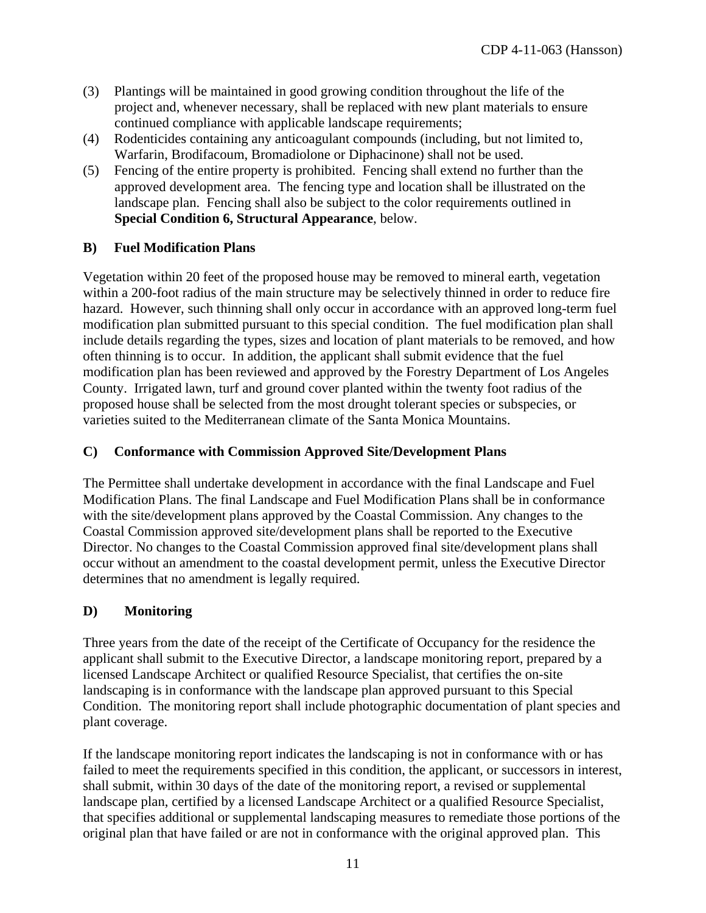- (3) Plantings will be maintained in good growing condition throughout the life of the project and, whenever necessary, shall be replaced with new plant materials to ensure continued compliance with applicable landscape requirements;
- (4) Rodenticides containing any anticoagulant compounds (including, but not limited to, Warfarin, Brodifacoum, Bromadiolone or Diphacinone) shall not be used.
- (5) Fencing of the entire property is prohibited. Fencing shall extend no further than the approved development area. The fencing type and location shall be illustrated on the landscape plan. Fencing shall also be subject to the color requirements outlined in **Special Condition [6](#page-11-0), Structural Appearance**, below.

#### **B) Fuel Modification Plans**

Vegetation within 20 feet of the proposed house may be removed to mineral earth, vegetation within a 200-foot radius of the main structure may be selectively thinned in order to reduce fire hazard. However, such thinning shall only occur in accordance with an approved long-term fuel modification plan submitted pursuant to this special condition. The fuel modification plan shall include details regarding the types, sizes and location of plant materials to be removed, and how often thinning is to occur. In addition, the applicant shall submit evidence that the fuel modification plan has been reviewed and approved by the Forestry Department of Los Angeles County. Irrigated lawn, turf and ground cover planted within the twenty foot radius of the proposed house shall be selected from the most drought tolerant species or subspecies, or varieties suited to the Mediterranean climate of the Santa Monica Mountains.

#### **C) Conformance with Commission Approved Site/Development Plans**

The Permittee shall undertake development in accordance with the final Landscape and Fuel Modification Plans. The final Landscape and Fuel Modification Plans shall be in conformance with the site/development plans approved by the Coastal Commission. Any changes to the Coastal Commission approved site/development plans shall be reported to the Executive Director. No changes to the Coastal Commission approved final site/development plans shall occur without an amendment to the coastal development permit, unless the Executive Director determines that no amendment is legally required.

#### **D) Monitoring**

Three years from the date of the receipt of the Certificate of Occupancy for the residence the applicant shall submit to the Executive Director, a landscape monitoring report, prepared by a licensed Landscape Architect or qualified Resource Specialist, that certifies the on-site landscaping is in conformance with the landscape plan approved pursuant to this Special Condition. The monitoring report shall include photographic documentation of plant species and plant coverage.

If the landscape monitoring report indicates the landscaping is not in conformance with or has failed to meet the requirements specified in this condition, the applicant, or successors in interest, shall submit, within 30 days of the date of the monitoring report, a revised or supplemental landscape plan, certified by a licensed Landscape Architect or a qualified Resource Specialist, that specifies additional or supplemental landscaping measures to remediate those portions of the original plan that have failed or are not in conformance with the original approved plan. This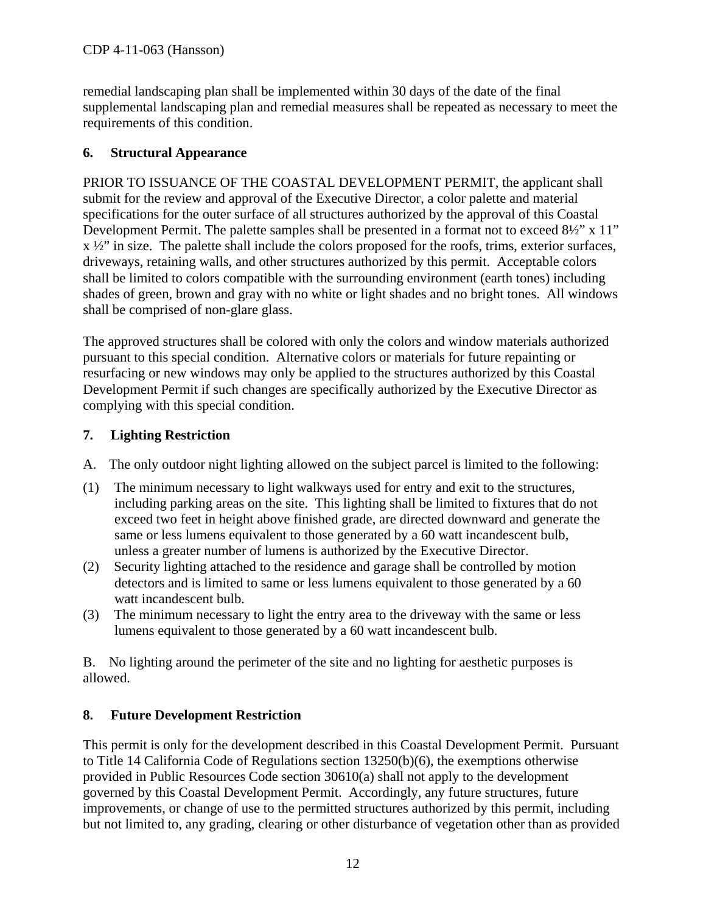remedial landscaping plan shall be implemented within 30 days of the date of the final supplemental landscaping plan and remedial measures shall be repeated as necessary to meet the requirements of this condition.

#### <span id="page-11-0"></span>**6. Structural Appearance**

PRIOR TO ISSUANCE OF THE COASTAL DEVELOPMENT PERMIT, the applicant shall submit for the review and approval of the Executive Director, a color palette and material specifications for the outer surface of all structures authorized by the approval of this Coastal Development Permit. The palette samples shall be presented in a format not to exceed 8½" x 11"  $x \frac{1}{2}$ " in size. The palette shall include the colors proposed for the roofs, trims, exterior surfaces, driveways, retaining walls, and other structures authorized by this permit. Acceptable colors shall be limited to colors compatible with the surrounding environment (earth tones) including shades of green, brown and gray with no white or light shades and no bright tones. All windows shall be comprised of non-glare glass.

The approved structures shall be colored with only the colors and window materials authorized pursuant to this special condition. Alternative colors or materials for future repainting or resurfacing or new windows may only be applied to the structures authorized by this Coastal Development Permit if such changes are specifically authorized by the Executive Director as complying with this special condition.

#### <span id="page-11-1"></span>**7. Lighting Restriction**

- A. The only outdoor night lighting allowed on the subject parcel is limited to the following:
- (1) The minimum necessary to light walkways used for entry and exit to the structures, including parking areas on the site. This lighting shall be limited to fixtures that do not exceed two feet in height above finished grade, are directed downward and generate the same or less lumens equivalent to those generated by a 60 watt incandescent bulb, unless a greater number of lumens is authorized by the Executive Director.
- (2) Security lighting attached to the residence and garage shall be controlled by motion detectors and is limited to same or less lumens equivalent to those generated by a 60 watt incandescent bulb.
- (3) The minimum necessary to light the entry area to the driveway with the same or less lumens equivalent to those generated by a 60 watt incandescent bulb.

B. No lighting around the perimeter of the site and no lighting for aesthetic purposes is allowed.

#### <span id="page-11-2"></span>**8. Future Development Restriction**

This permit is only for the development described in this Coastal Development Permit. Pursuant to Title 14 California Code of Regulations section 13250(b)(6), the exemptions otherwise provided in Public Resources Code section 30610(a) shall not apply to the development governed by this Coastal Development Permit. Accordingly, any future structures, future improvements, or change of use to the permitted structures authorized by this permit, including but not limited to, any grading, clearing or other disturbance of vegetation other than as provided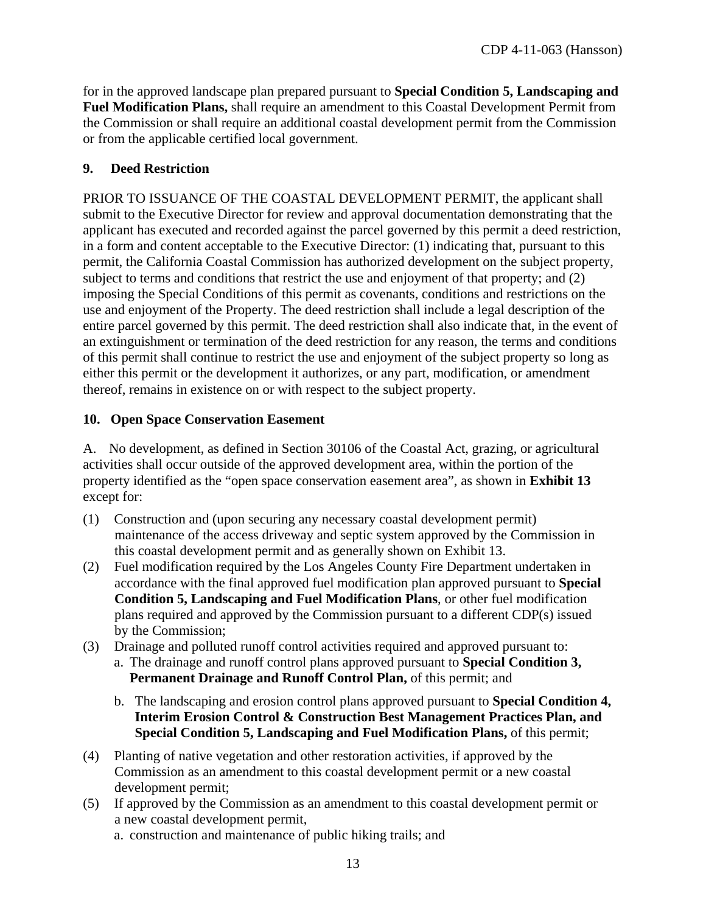for in the approved landscape plan prepared pursuant to **Special Condition 5, Landscaping and Fuel Modification Plans,** shall require an amendment to this Coastal Development Permit from the Commission or shall require an additional coastal development permit from the Commission or from the applicable certified local government.

#### <span id="page-12-0"></span>**9. Deed Restriction**

PRIOR TO ISSUANCE OF THE COASTAL DEVELOPMENT PERMIT, the applicant shall submit to the Executive Director for review and approval documentation demonstrating that the applicant has executed and recorded against the parcel governed by this permit a deed restriction, in a form and content acceptable to the Executive Director: (1) indicating that, pursuant to this permit, the California Coastal Commission has authorized development on the subject property, subject to terms and conditions that restrict the use and enjoyment of that property; and (2) imposing the Special Conditions of this permit as covenants, conditions and restrictions on the use and enjoyment of the Property. The deed restriction shall include a legal description of the entire parcel governed by this permit. The deed restriction shall also indicate that, in the event of an extinguishment or termination of the deed restriction for any reason, the terms and conditions of this permit shall continue to restrict the use and enjoyment of the subject property so long as either this permit or the development it authorizes, or any part, modification, or amendment thereof, remains in existence on or with respect to the subject property.

#### <span id="page-12-1"></span>**10. Open Space Conservation Easement**

A. No development, as defined in Section 30106 of the Coastal Act, grazing, or agricultural activities shall occur outside of the approved development area, within the portion of the property identified as the "open space conservation easement area", as shown in **Exhibit 13** except for:

- (1) Construction and (upon securing any necessary coastal development permit) maintenance of the access driveway and septic system approved by the Commission in this coastal development permit and as generally shown on Exhibit 13.
- (2) Fuel modification required by the Los Angeles County Fire Department undertaken in accordance with the final approved fuel modification plan approved pursuant to **Special Condition 5, Landscaping and Fuel Modification Plans**, or other fuel modification plans required and approved by the Commission pursuant to a different CDP(s) issued by the Commission;
- (3) Drainage and polluted runoff control activities required and approved pursuant to: a. The drainage and runoff control plans approved pursuant to **Special Condition 3, Permanent Drainage and Runoff Control Plan,** of this permit; and
	- b. The landscaping and erosion control plans approved pursuant to **Special Condition 4, Interim Erosion Control & Construction Best Management Practices Plan, and Special Condition 5, Landscaping and Fuel Modification Plans,** of this permit;
- (4) Planting of native vegetation and other restoration activities, if approved by the Commission as an amendment to this coastal development permit or a new coastal development permit;
- (5) If approved by the Commission as an amendment to this coastal development permit or a new coastal development permit, a. construction and maintenance of public hiking trails; and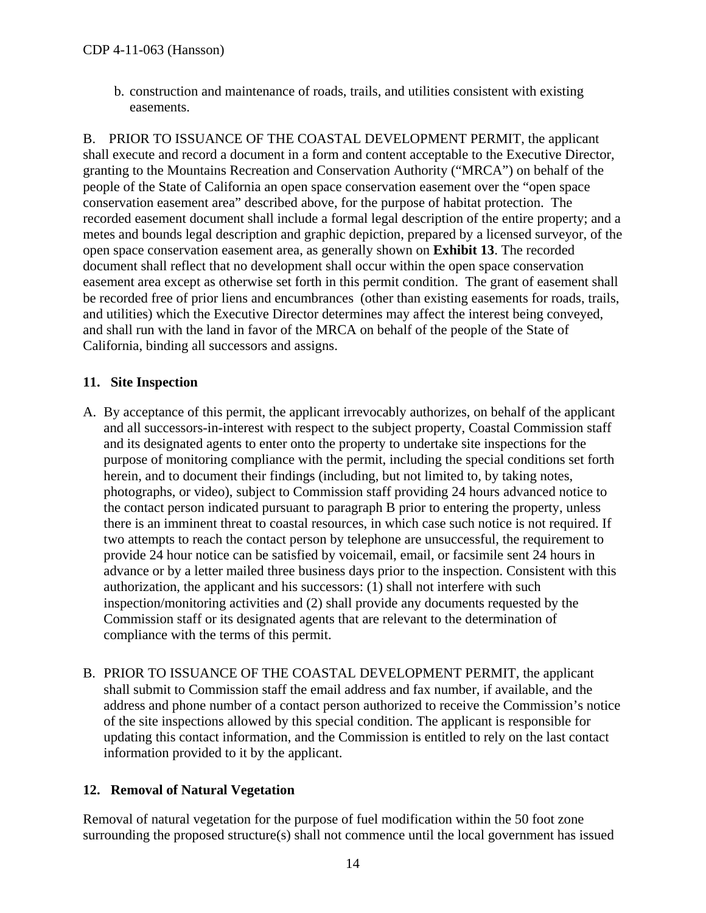b. construction and maintenance of roads, trails, and utilities consistent with existing easements.

B. PRIOR TO ISSUANCE OF THE COASTAL DEVELOPMENT PERMIT, the applicant shall execute and record a document in a form and content acceptable to the Executive Director, granting to the Mountains Recreation and Conservation Authority ("MRCA") on behalf of the people of the State of California an open space conservation easement over the "open space conservation easement area" described above, for the purpose of habitat protection. The recorded easement document shall include a formal legal description of the entire property; and a metes and bounds legal description and graphic depiction, prepared by a licensed surveyor, of the open space conservation easement area, as generally shown on **Exhibit 13**. The recorded document shall reflect that no development shall occur within the open space conservation easement area except as otherwise set forth in this permit condition. The grant of easement shall be recorded free of prior liens and encumbrances (other than existing easements for roads, trails, and utilities) which the Executive Director determines may affect the interest being conveyed, and shall run with the land in favor of the MRCA on behalf of the people of the State of California, binding all successors and assigns.

#### <span id="page-13-0"></span>**11. Site Inspection**

- A. By acceptance of this permit, the applicant irrevocably authorizes, on behalf of the applicant and all successors-in-interest with respect to the subject property, Coastal Commission staff and its designated agents to enter onto the property to undertake site inspections for the purpose of monitoring compliance with the permit, including the special conditions set forth herein, and to document their findings (including, but not limited to, by taking notes, photographs, or video), subject to Commission staff providing 24 hours advanced notice to the contact person indicated pursuant to paragraph B prior to entering the property, unless there is an imminent threat to coastal resources, in which case such notice is not required. If two attempts to reach the contact person by telephone are unsuccessful, the requirement to provide 24 hour notice can be satisfied by voicemail, email, or facsimile sent 24 hours in advance or by a letter mailed three business days prior to the inspection. Consistent with this authorization, the applicant and his successors: (1) shall not interfere with such inspection/monitoring activities and (2) shall provide any documents requested by the Commission staff or its designated agents that are relevant to the determination of compliance with the terms of this permit.
- B. PRIOR TO ISSUANCE OF THE COASTAL DEVELOPMENT PERMIT, the applicant shall submit to Commission staff the email address and fax number, if available, and the address and phone number of a contact person authorized to receive the Commission's notice of the site inspections allowed by this special condition. The applicant is responsible for updating this contact information, and the Commission is entitled to rely on the last contact information provided to it by the applicant.

#### <span id="page-13-1"></span>**12. Removal of Natural Vegetation**

Removal of natural vegetation for the purpose of fuel modification within the 50 foot zone surrounding the proposed structure(s) shall not commence until the local government has issued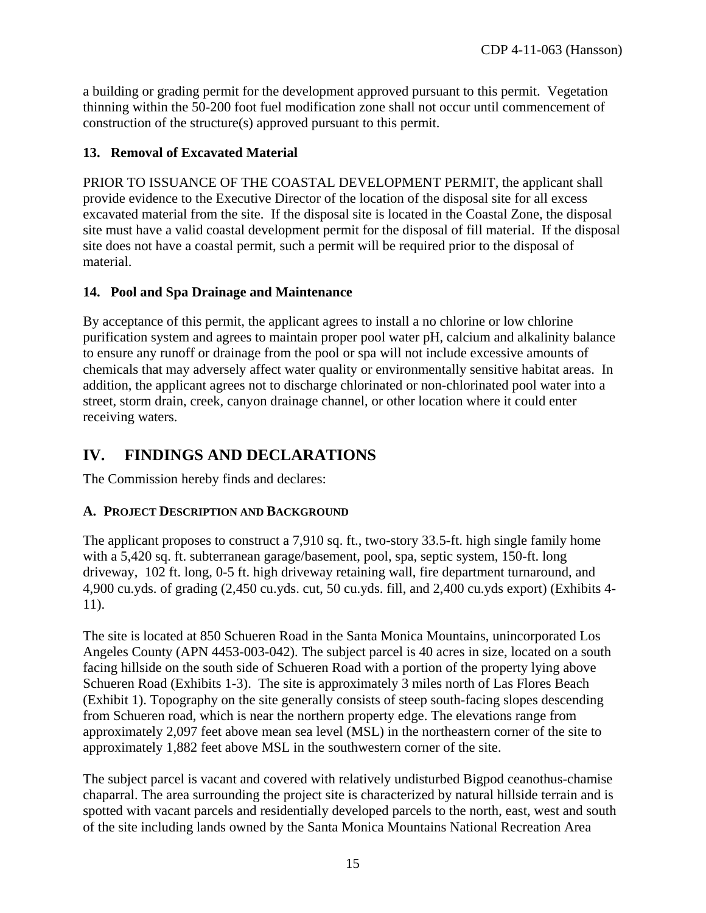a building or grading permit for the development approved pursuant to this permit. Vegetation thinning within the 50-200 foot fuel modification zone shall not occur until commencement of construction of the structure(s) approved pursuant to this permit.

#### <span id="page-14-0"></span>**13. Removal of Excavated Material**

PRIOR TO ISSUANCE OF THE COASTAL DEVELOPMENT PERMIT, the applicant shall provide evidence to the Executive Director of the location of the disposal site for all excess excavated material from the site. If the disposal site is located in the Coastal Zone, the disposal site must have a valid coastal development permit for the disposal of fill material. If the disposal site does not have a coastal permit, such a permit will be required prior to the disposal of material.

#### <span id="page-14-1"></span>**14. Pool and Spa Drainage and Maintenance**

By acceptance of this permit, the applicant agrees to install a no chlorine or low chlorine purification system and agrees to maintain proper pool water pH, calcium and alkalinity balance to ensure any runoff or drainage from the pool or spa will not include excessive amounts of chemicals that may adversely affect water quality or environmentally sensitive habitat areas. In addition, the applicant agrees not to discharge chlorinated or non-chlorinated pool water into a street, storm drain, creek, canyon drainage channel, or other location where it could enter receiving waters.

## <span id="page-14-2"></span>**IV. FINDINGS AND DECLARATIONS**

The Commission hereby finds and declares:

#### <span id="page-14-3"></span>**A. PROJECT DESCRIPTION AND BACKGROUND**

The applicant proposes to construct a 7,910 sq. ft., two-story 33.5-ft. high single family home with a 5,420 sq. ft. subterranean garage/basement, pool, spa, septic system, 150-ft. long driveway, 102 ft. long, 0-5 ft. high driveway retaining wall, fire department turnaround, and 4,900 cu.yds. of grading (2,450 cu.yds. cut, 50 cu.yds. fill, and 2,400 cu.yds export) (Exhibits 4- 11).

The site is located at 850 Schueren Road in the Santa Monica Mountains, unincorporated Los Angeles County (APN 4453-003-042). The subject parcel is 40 acres in size, located on a south facing hillside on the south side of Schueren Road with a portion of the property lying above Schueren Road (Exhibits 1-3). The site is approximately 3 miles north of Las Flores Beach (Exhibit 1). Topography on the site generally consists of steep south-facing slopes descending from Schueren road, which is near the northern property edge. The elevations range from approximately 2,097 feet above mean sea level (MSL) in the northeastern corner of the site to approximately 1,882 feet above MSL in the southwestern corner of the site.

The subject parcel is vacant and covered with relatively undisturbed Bigpod ceanothus-chamise chaparral. The area surrounding the project site is characterized by natural hillside terrain and is spotted with vacant parcels and residentially developed parcels to the north, east, west and south of the site including lands owned by the Santa Monica Mountains National Recreation Area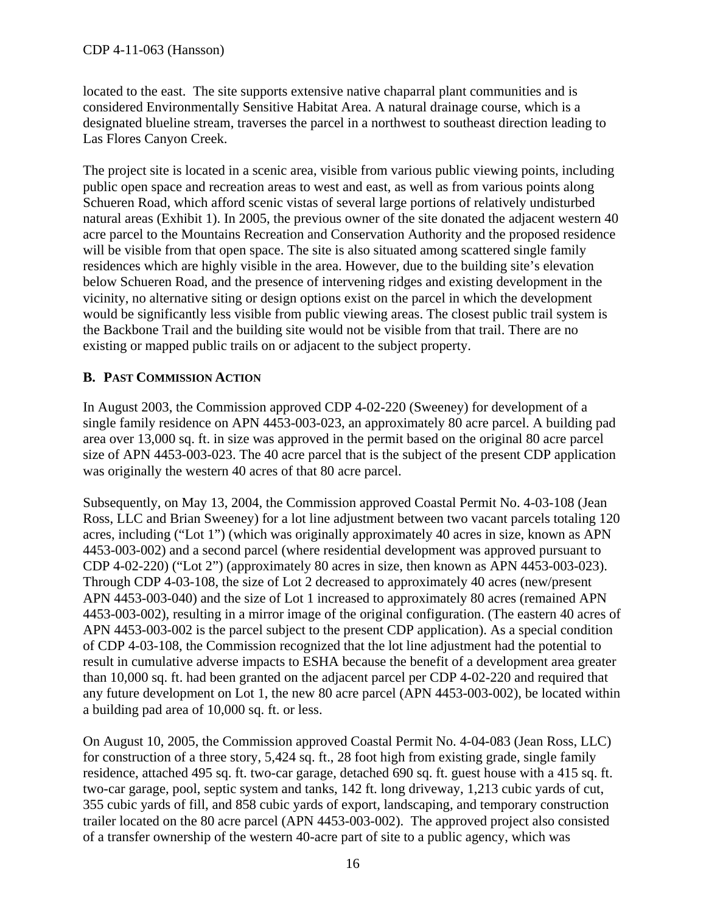located to the east. The site supports extensive native chaparral plant communities and is considered Environmentally Sensitive Habitat Area. A natural drainage course, which is a designated blueline stream, traverses the parcel in a northwest to southeast direction leading to Las Flores Canyon Creek.

The project site is located in a scenic area, visible from various public viewing points, including public open space and recreation areas to west and east, as well as from various points along Schueren Road, which afford scenic vistas of several large portions of relatively undisturbed natural areas (Exhibit 1). In 2005, the previous owner of the site donated the adjacent western 40 acre parcel to the Mountains Recreation and Conservation Authority and the proposed residence will be visible from that open space. The site is also situated among scattered single family residences which are highly visible in the area. However, due to the building site's elevation below Schueren Road, and the presence of intervening ridges and existing development in the vicinity, no alternative siting or design options exist on the parcel in which the development would be significantly less visible from public viewing areas. The closest public trail system is the Backbone Trail and the building site would not be visible from that trail. There are no existing or mapped public trails on or adjacent to the subject property.

#### <span id="page-15-0"></span>**B. PAST COMMISSION ACTION**

In August 2003, the Commission approved CDP 4-02-220 (Sweeney) for development of a single family residence on APN 4453-003-023, an approximately 80 acre parcel. A building pad area over 13,000 sq. ft. in size was approved in the permit based on the original 80 acre parcel size of APN 4453-003-023. The 40 acre parcel that is the subject of the present CDP application was originally the western 40 acres of that 80 acre parcel.

Subsequently, on May 13, 2004, the Commission approved Coastal Permit No. 4-03-108 (Jean Ross, LLC and Brian Sweeney) for a lot line adjustment between two vacant parcels totaling 120 acres, including ("Lot 1") (which was originally approximately 40 acres in size, known as APN 4453-003-002) and a second parcel (where residential development was approved pursuant to CDP 4-02-220) ("Lot 2") (approximately 80 acres in size, then known as APN 4453-003-023). Through CDP 4-03-108, the size of Lot 2 decreased to approximately 40 acres (new/present APN 4453-003-040) and the size of Lot 1 increased to approximately 80 acres (remained APN 4453-003-002), resulting in a mirror image of the original configuration. (The eastern 40 acres of APN 4453-003-002 is the parcel subject to the present CDP application). As a special condition of CDP 4-03-108, the Commission recognized that the lot line adjustment had the potential to result in cumulative adverse impacts to ESHA because the benefit of a development area greater than 10,000 sq. ft. had been granted on the adjacent parcel per CDP 4-02-220 and required that any future development on Lot 1, the new 80 acre parcel (APN 4453-003-002), be located within a building pad area of 10,000 sq. ft. or less.

On August 10, 2005, the Commission approved Coastal Permit No. 4-04-083 (Jean Ross, LLC) for construction of a three story, 5,424 sq. ft., 28 foot high from existing grade, single family residence, attached 495 sq. ft. two-car garage, detached 690 sq. ft. guest house with a 415 sq. ft. two-car garage, pool, septic system and tanks, 142 ft. long driveway, 1,213 cubic yards of cut, 355 cubic yards of fill, and 858 cubic yards of export, landscaping, and temporary construction trailer located on the 80 acre parcel (APN 4453-003-002). The approved project also consisted of a transfer ownership of the western 40-acre part of site to a public agency, which was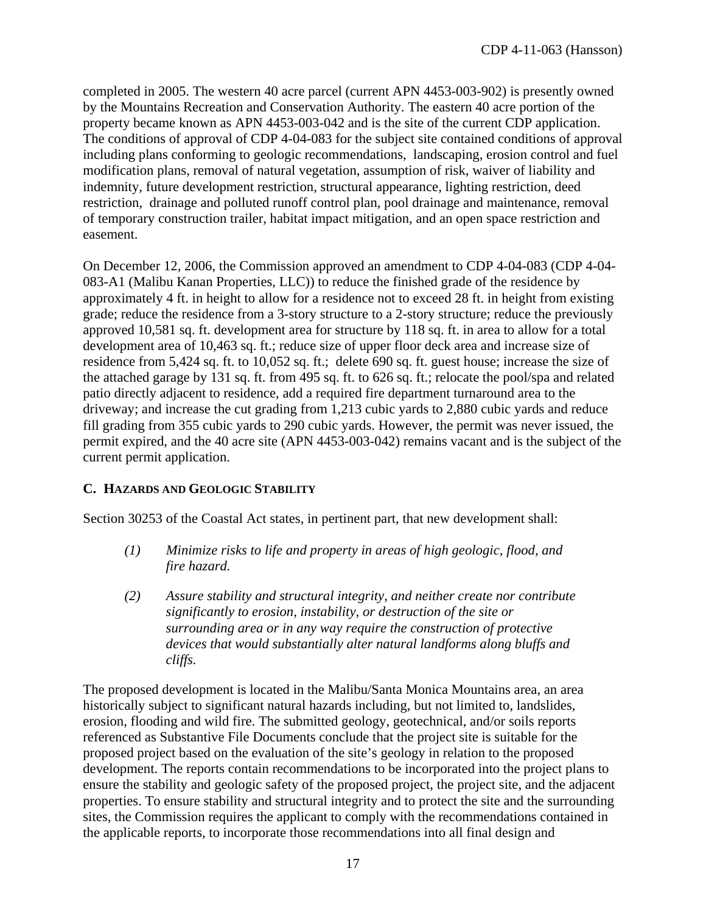completed in 2005. The western 40 acre parcel (current APN 4453-003-902) is presently owned by the Mountains Recreation and Conservation Authority. The eastern 40 acre portion of the property became known as APN 4453-003-042 and is the site of the current CDP application. The conditions of approval of CDP 4-04-083 for the subject site contained conditions of approval including plans conforming to geologic recommendations, landscaping, erosion control and fuel modification plans, removal of natural vegetation, assumption of risk, waiver of liability and indemnity, future development restriction, structural appearance, lighting restriction, deed restriction, drainage and polluted runoff control plan, pool drainage and maintenance, removal of temporary construction trailer, habitat impact mitigation, and an open space restriction and easement.

On December 12, 2006, the Commission approved an amendment to CDP 4-04-083 (CDP 4-04- 083-A1 (Malibu Kanan Properties, LLC)) to reduce the finished grade of the residence by approximately 4 ft. in height to allow for a residence not to exceed 28 ft. in height from existing grade; reduce the residence from a 3-story structure to a 2-story structure; reduce the previously approved 10,581 sq. ft. development area for structure by 118 sq. ft. in area to allow for a total development area of 10,463 sq. ft.; reduce size of upper floor deck area and increase size of residence from 5,424 sq. ft. to 10,052 sq. ft.; delete 690 sq. ft. guest house; increase the size of the attached garage by 131 sq. ft. from 495 sq. ft. to 626 sq. ft.; relocate the pool/spa and related patio directly adjacent to residence, add a required fire department turnaround area to the driveway; and increase the cut grading from 1,213 cubic yards to 2,880 cubic yards and reduce fill grading from 355 cubic yards to 290 cubic yards. However, the permit was never issued, the permit expired, and the 40 acre site (APN 4453-003-042) remains vacant and is the subject of the current permit application.

#### <span id="page-16-0"></span>**C. HAZARDS AND GEOLOGIC STABILITY**

Section 30253 of the Coastal Act states, in pertinent part, that new development shall:

- *(1) Minimize risks to life and property in areas of high geologic, flood, and fire hazard.*
- *(2) Assure stability and structural integrity, and neither create nor contribute significantly to erosion, instability, or destruction of the site or surrounding area or in any way require the construction of protective devices that would substantially alter natural landforms along bluffs and cliffs.*

The proposed development is located in the Malibu/Santa Monica Mountains area, an area historically subject to significant natural hazards including, but not limited to, landslides, erosion, flooding and wild fire. The submitted geology, geotechnical, and/or soils reports referenced as Substantive File Documents conclude that the project site is suitable for the proposed project based on the evaluation of the site's geology in relation to the proposed development. The reports contain recommendations to be incorporated into the project plans to ensure the stability and geologic safety of the proposed project, the project site, and the adjacent properties. To ensure stability and structural integrity and to protect the site and the surrounding sites, the Commission requires the applicant to comply with the recommendations contained in the applicable reports, to incorporate those recommendations into all final design and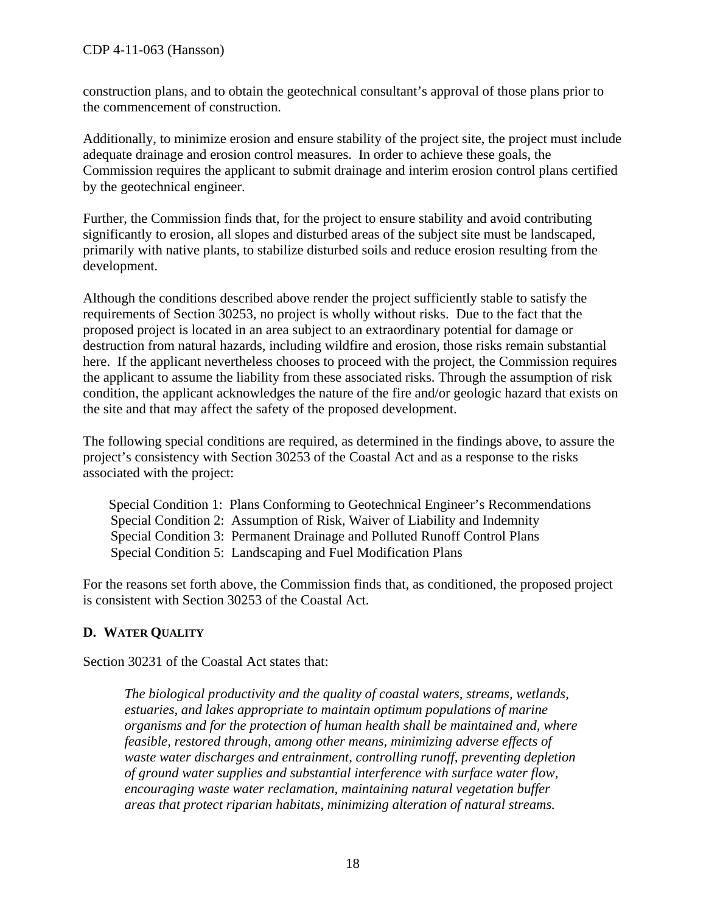construction plans, and to obtain the geotechnical consultant's approval of those plans prior to the commencement of construction.

Additionally, to minimize erosion and ensure stability of the project site, the project must include adequate drainage and erosion control measures. In order to achieve these goals, the Commission requires the applicant to submit drainage and interim erosion control plans certified by the geotechnical engineer.

Further, the Commission finds that, for the project to ensure stability and avoid contributing significantly to erosion, all slopes and disturbed areas of the subject site must be landscaped, primarily with native plants, to stabilize disturbed soils and reduce erosion resulting from the development.

Although the conditions described above render the project sufficiently stable to satisfy the requirements of Section 30253, no project is wholly without risks. Due to the fact that the proposed project is located in an area subject to an extraordinary potential for damage or destruction from natural hazards, including wildfire and erosion, those risks remain substantial here. If the applicant nevertheless chooses to proceed with the project, the Commission requires the applicant to assume the liability from these associated risks. Through the assumption of risk condition, the applicant acknowledges the nature of the fire and/or geologic hazard that exists on the site and that may affect the safety of the proposed development.

The following special conditions are required, as determined in the findings above, to assure the project's consistency with Section 30253 of the Coastal Act and as a response to the risks associated with the project:

Special Condition 1: Plans Conforming to Geotechnical Engineer's Recommendations Special Condition 2: Assumption of Risk, Waiver of Liability and Indemnity Special Condition 3: Permanent Drainage and Polluted Runoff Control Plans Special Condition 5: Landscaping and Fuel Modification Plans

For the reasons set forth above, the Commission finds that, as conditioned, the proposed project is consistent with Section 30253 of the Coastal Act.

#### <span id="page-17-0"></span>**D. WATER QUALITY**

Section 30231 of the Coastal Act states that:

*The biological productivity and the quality of coastal waters, streams, wetlands, estuaries, and lakes appropriate to maintain optimum populations of marine organisms and for the protection of human health shall be maintained and, where feasible, restored through, among other means, minimizing adverse effects of waste water discharges and entrainment, controlling runoff, preventing depletion of ground water supplies and substantial interference with surface water flow, encouraging waste water reclamation, maintaining natural vegetation buffer areas that protect riparian habitats, minimizing alteration of natural streams.*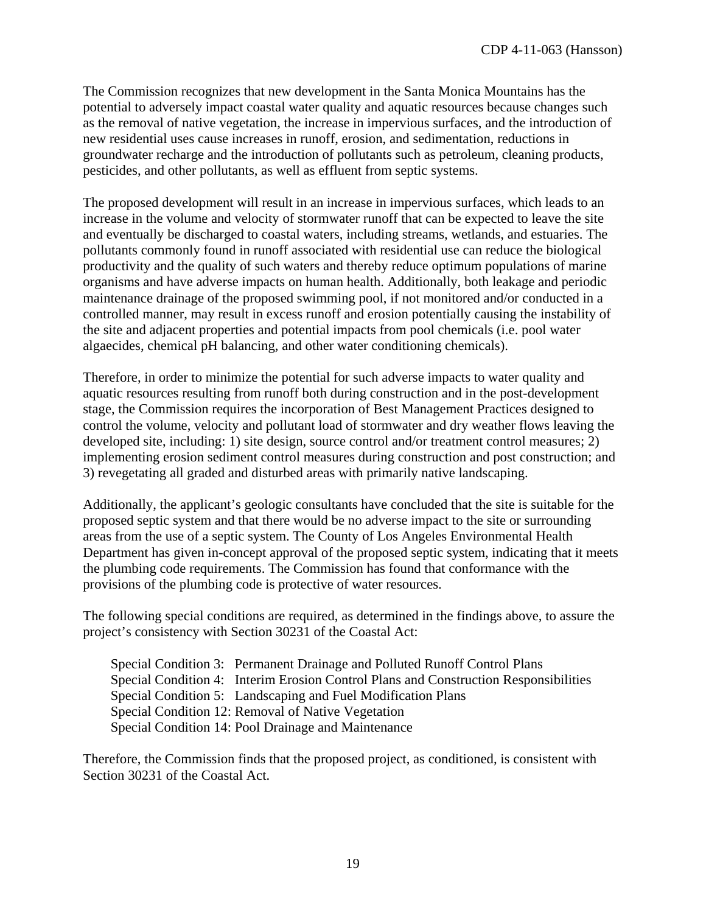The Commission recognizes that new development in the Santa Monica Mountains has the potential to adversely impact coastal water quality and aquatic resources because changes such as the removal of native vegetation, the increase in impervious surfaces, and the introduction of new residential uses cause increases in runoff, erosion, and sedimentation, reductions in groundwater recharge and the introduction of pollutants such as petroleum, cleaning products, pesticides, and other pollutants, as well as effluent from septic systems.

The proposed development will result in an increase in impervious surfaces, which leads to an increase in the volume and velocity of stormwater runoff that can be expected to leave the site and eventually be discharged to coastal waters, including streams, wetlands, and estuaries. The pollutants commonly found in runoff associated with residential use can reduce the biological productivity and the quality of such waters and thereby reduce optimum populations of marine organisms and have adverse impacts on human health. Additionally, both leakage and periodic maintenance drainage of the proposed swimming pool, if not monitored and/or conducted in a controlled manner, may result in excess runoff and erosion potentially causing the instability of the site and adjacent properties and potential impacts from pool chemicals (i.e. pool water algaecides, chemical pH balancing, and other water conditioning chemicals).

Therefore, in order to minimize the potential for such adverse impacts to water quality and aquatic resources resulting from runoff both during construction and in the post-development stage, the Commission requires the incorporation of Best Management Practices designed to control the volume, velocity and pollutant load of stormwater and dry weather flows leaving the developed site, including: 1) site design, source control and/or treatment control measures; 2) implementing erosion sediment control measures during construction and post construction; and 3) revegetating all graded and disturbed areas with primarily native landscaping.

Additionally, the applicant's geologic consultants have concluded that the site is suitable for the proposed septic system and that there would be no adverse impact to the site or surrounding areas from the use of a septic system. The County of Los Angeles Environmental Health Department has given in-concept approval of the proposed septic system, indicating that it meets the plumbing code requirements. The Commission has found that conformance with the provisions of the plumbing code is protective of water resources.

The following special conditions are required, as determined in the findings above, to assure the project's consistency with Section 30231 of the Coastal Act:

Special Condition 3: Permanent Drainage and Polluted Runoff Control Plans Special Condition 4: Interim Erosion Control Plans and Construction Responsibilities Special Condition 5: Landscaping and Fuel Modification Plans Special Condition 12: Removal of Native Vegetation Special Condition 14: Pool Drainage and Maintenance

Therefore, the Commission finds that the proposed project, as conditioned, is consistent with Section 30231 of the Coastal Act.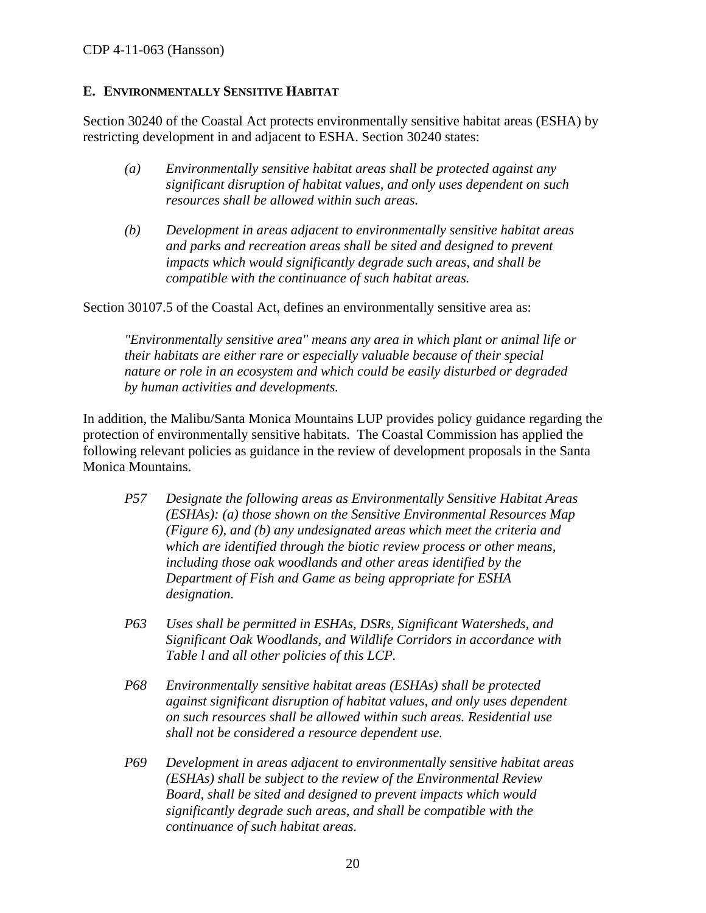#### <span id="page-19-0"></span>**E. ENVIRONMENTALLY SENSITIVE HABITAT**

Section 30240 of the Coastal Act protects environmentally sensitive habitat areas (ESHA) by restricting development in and adjacent to ESHA. Section 30240 states:

- *(a) Environmentally sensitive habitat areas shall be protected against any significant disruption of habitat values, and only uses dependent on such resources shall be allowed within such areas.*
- *(b) Development in areas adjacent to environmentally sensitive habitat areas and parks and recreation areas shall be sited and designed to prevent impacts which would significantly degrade such areas, and shall be compatible with the continuance of such habitat areas.*

Section 30107.5 of the Coastal Act, defines an environmentally sensitive area as:

*"Environmentally sensitive area" means any area in which plant or animal life or their habitats are either rare or especially valuable because of their special nature or role in an ecosystem and which could be easily disturbed or degraded by human activities and developments.* 

In addition, the Malibu/Santa Monica Mountains LUP provides policy guidance regarding the protection of environmentally sensitive habitats. The Coastal Commission has applied the following relevant policies as guidance in the review of development proposals in the Santa Monica Mountains.

- *P57 Designate the following areas as Environmentally Sensitive Habitat Areas (ESHAs): (a) those shown on the Sensitive Environmental Resources Map (Figure 6), and (b) any undesignated areas which meet the criteria and which are identified through the biotic review process or other means, including those oak woodlands and other areas identified by the Department of Fish and Game as being appropriate for ESHA designation.*
- *P63 Uses shall be permitted in ESHAs, DSRs, Significant Watersheds, and Significant Oak Woodlands, and Wildlife Corridors in accordance with Table l and all other policies of this LCP.*
- *P68 Environmentally sensitive habitat areas (ESHAs) shall be protected against significant disruption of habitat values, and only uses dependent on such resources shall be allowed within such areas. Residential use shall not be considered a resource dependent use.*
- *P69 Development in areas adjacent to environmentally sensitive habitat areas (ESHAs) shall be subject to the review of the Environmental Review Board, shall be sited and designed to prevent impacts which would significantly degrade such areas, and shall be compatible with the continuance of such habitat areas.*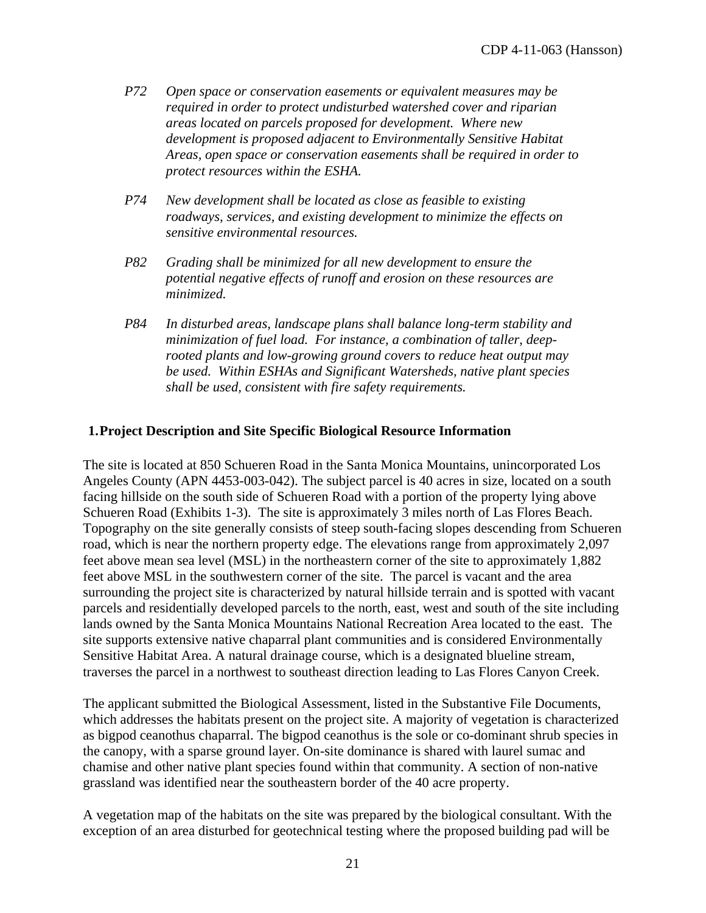- *P72 Open space or conservation easements or equivalent measures may be required in order to protect undisturbed watershed cover and riparian areas located on parcels proposed for development. Where new development is proposed adjacent to Environmentally Sensitive Habitat Areas, open space or conservation easements shall be required in order to protect resources within the ESHA.*
- *P74 New development shall be located as close as feasible to existing roadways, services, and existing development to minimize the effects on sensitive environmental resources.*
- *P82 Grading shall be minimized for all new development to ensure the potential negative effects of runoff and erosion on these resources are minimized.*
- *P84 In disturbed areas, landscape plans shall balance long-term stability and minimization of fuel load. For instance, a combination of taller, deeprooted plants and low-growing ground covers to reduce heat output may be used. Within ESHAs and Significant Watersheds, native plant species shall be used, consistent with fire safety requirements.*

#### **1.Project Description and Site Specific Biological Resource Information**

The site is located at 850 Schueren Road in the Santa Monica Mountains, unincorporated Los Angeles County (APN 4453-003-042). The subject parcel is 40 acres in size, located on a south facing hillside on the south side of Schueren Road with a portion of the property lying above Schueren Road (Exhibits 1-3). The site is approximately 3 miles north of Las Flores Beach. Topography on the site generally consists of steep south-facing slopes descending from Schueren road, which is near the northern property edge. The elevations range from approximately 2,097 feet above mean sea level (MSL) in the northeastern corner of the site to approximately 1,882 feet above MSL in the southwestern corner of the site. The parcel is vacant and the area surrounding the project site is characterized by natural hillside terrain and is spotted with vacant parcels and residentially developed parcels to the north, east, west and south of the site including lands owned by the Santa Monica Mountains National Recreation Area located to the east. The site supports extensive native chaparral plant communities and is considered Environmentally Sensitive Habitat Area. A natural drainage course, which is a designated blueline stream, traverses the parcel in a northwest to southeast direction leading to Las Flores Canyon Creek.

The applicant submitted the Biological Assessment, listed in the Substantive File Documents, which addresses the habitats present on the project site. A majority of vegetation is characterized as bigpod ceanothus chaparral. The bigpod ceanothus is the sole or co-dominant shrub species in the canopy, with a sparse ground layer. On-site dominance is shared with laurel sumac and chamise and other native plant species found within that community. A section of non-native grassland was identified near the southeastern border of the 40 acre property.

A vegetation map of the habitats on the site was prepared by the biological consultant. With the exception of an area disturbed for geotechnical testing where the proposed building pad will be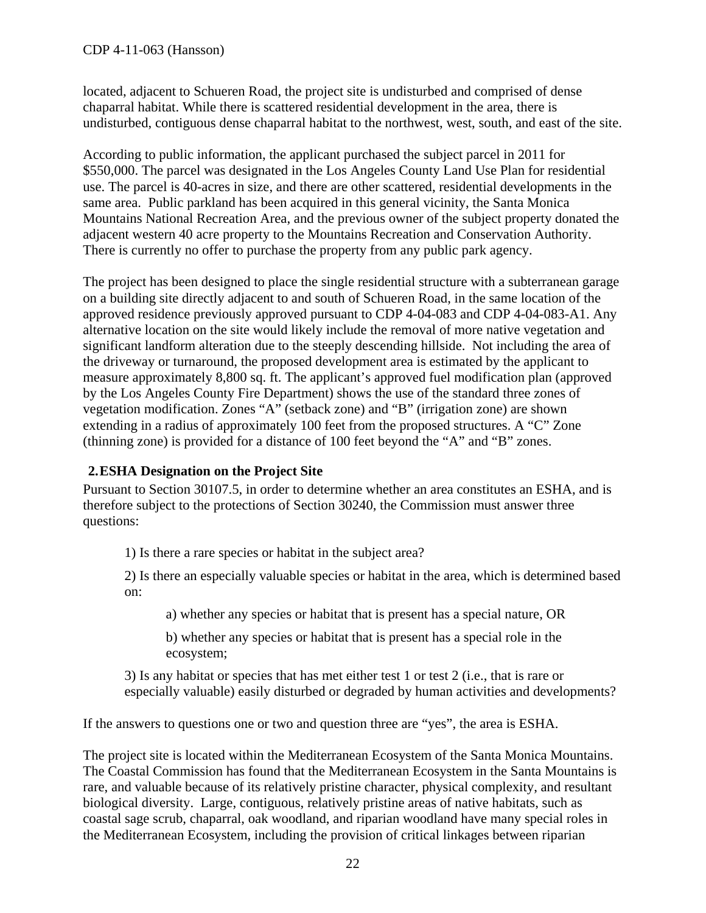located, adjacent to Schueren Road, the project site is undisturbed and comprised of dense chaparral habitat. While there is scattered residential development in the area, there is undisturbed, contiguous dense chaparral habitat to the northwest, west, south, and east of the site.

According to public information, the applicant purchased the subject parcel in 2011 for \$550,000. The parcel was designated in the Los Angeles County Land Use Plan for residential use. The parcel is 40-acres in size, and there are other scattered, residential developments in the same area. Public parkland has been acquired in this general vicinity, the Santa Monica Mountains National Recreation Area, and the previous owner of the subject property donated the adjacent western 40 acre property to the Mountains Recreation and Conservation Authority. There is currently no offer to purchase the property from any public park agency.

The project has been designed to place the single residential structure with a subterranean garage on a building site directly adjacent to and south of Schueren Road, in the same location of the approved residence previously approved pursuant to CDP 4-04-083 and CDP 4-04-083-A1. Any alternative location on the site would likely include the removal of more native vegetation and significant landform alteration due to the steeply descending hillside. Not including the area of the driveway or turnaround, the proposed development area is estimated by the applicant to measure approximately 8,800 sq. ft. The applicant's approved fuel modification plan (approved by the Los Angeles County Fire Department) shows the use of the standard three zones of vegetation modification. Zones "A" (setback zone) and "B" (irrigation zone) are shown extending in a radius of approximately 100 feet from the proposed structures. A "C" Zone (thinning zone) is provided for a distance of 100 feet beyond the "A" and "B" zones.

#### **2.ESHA Designation on the Project Site**

Pursuant to Section 30107.5, in order to determine whether an area constitutes an ESHA, and is therefore subject to the protections of Section 30240, the Commission must answer three questions:

1) Is there a rare species or habitat in the subject area?

2) Is there an especially valuable species or habitat in the area, which is determined based on:

a) whether any species or habitat that is present has a special nature, OR

b) whether any species or habitat that is present has a special role in the ecosystem;

3) Is any habitat or species that has met either test 1 or test 2 (i.e., that is rare or especially valuable) easily disturbed or degraded by human activities and developments?

If the answers to questions one or two and question three are "yes", the area is ESHA.

The project site is located within the Mediterranean Ecosystem of the Santa Monica Mountains. The Coastal Commission has found that the Mediterranean Ecosystem in the Santa Mountains is rare, and valuable because of its relatively pristine character, physical complexity, and resultant biological diversity. Large, contiguous, relatively pristine areas of native habitats, such as coastal sage scrub, chaparral, oak woodland, and riparian woodland have many special roles in the Mediterranean Ecosystem, including the provision of critical linkages between riparian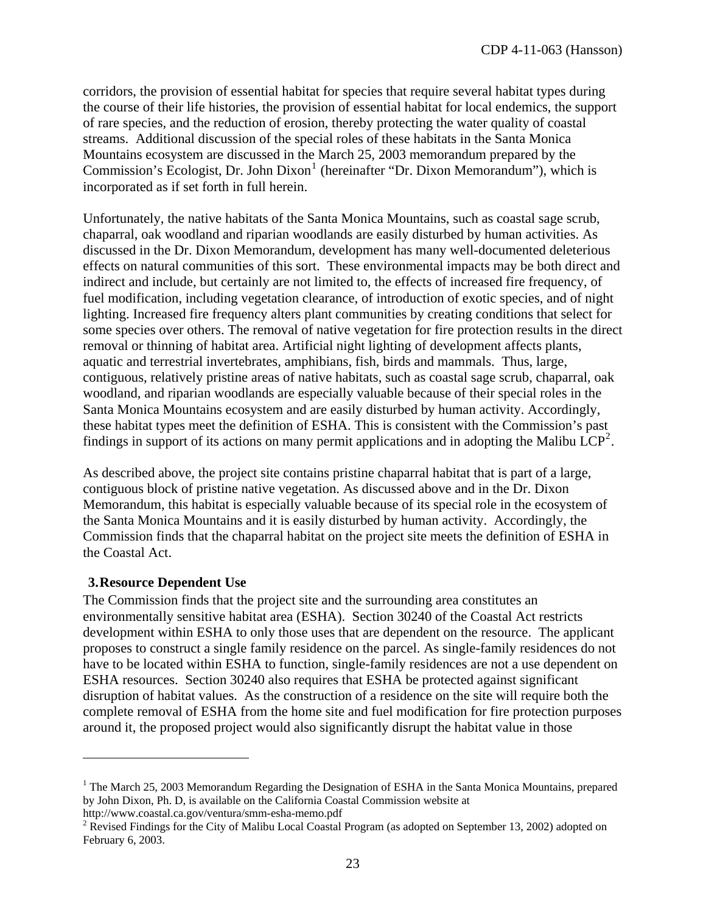corridors, the provision of essential habitat for species that require several habitat types during the course of their life histories, the provision of essential habitat for local endemics, the support of rare species, and the reduction of erosion, thereby protecting the water quality of coastal streams. Additional discussion of the special roles of these habitats in the Santa Monica Mountains ecosystem are discussed in the March 25, 2003 memorandum prepared by the Commission's Ecologist, Dr. John Dixon<sup>[1](#page-3-1)</sup> (hereinafter "Dr. Dixon Memorandum"), which is incorporated as if set forth in full herein.

Unfortunately, the native habitats of the Santa Monica Mountains, such as coastal sage scrub, chaparral, oak woodland and riparian woodlands are easily disturbed by human activities. As discussed in the Dr. Dixon Memorandum, development has many well-documented deleterious effects on natural communities of this sort. These environmental impacts may be both direct and indirect and include, but certainly are not limited to, the effects of increased fire frequency, of fuel modification, including vegetation clearance, of introduction of exotic species, and of night lighting. Increased fire frequency alters plant communities by creating conditions that select for some species over others. The removal of native vegetation for fire protection results in the direct removal or thinning of habitat area. Artificial night lighting of development affects plants, aquatic and terrestrial invertebrates, amphibians, fish, birds and mammals. Thus, large, contiguous, relatively pristine areas of native habitats, such as coastal sage scrub, chaparral, oak woodland, and riparian woodlands are especially valuable because of their special roles in the Santa Monica Mountains ecosystem and are easily disturbed by human activity. Accordingly, these habitat types meet the definition of ESHA. This is consistent with the Commission's past findings in support of its actions on many permit applications and in adopting the Malibu  $\text{LCP}^2$  $\text{LCP}^2$ .

As described above, the project site contains pristine chaparral habitat that is part of a large, contiguous block of pristine native vegetation. As discussed above and in the Dr. Dixon Memorandum, this habitat is especially valuable because of its special role in the ecosystem of the Santa Monica Mountains and it is easily disturbed by human activity. Accordingly, the Commission finds that the chaparral habitat on the project site meets the definition of ESHA in the Coastal Act.

#### **3.Resource Dependent Use**

<u>.</u>

The Commission finds that the project site and the surrounding area constitutes an environmentally sensitive habitat area (ESHA). Section 30240 of the Coastal Act restricts development within ESHA to only those uses that are dependent on the resource. The applicant proposes to construct a single family residence on the parcel. As single-family residences do not have to be located within ESHA to function, single-family residences are not a use dependent on ESHA resources. Section 30240 also requires that ESHA be protected against significant disruption of habitat values. As the construction of a residence on the site will require both the complete removal of ESHA from the home site and fuel modification for fire protection purposes around it, the proposed project would also significantly disrupt the habitat value in those

<span id="page-22-1"></span>http://www.coastal.ca.gov/ventura/smm-esha-memo.pdf

<sup>&</sup>lt;sup>1</sup> The March 25, 2003 Memorandum Regarding the Designation of ESHA in the Santa Monica Mountains, prepared by John Dixon, Ph. D, is available on the California Coastal Commission website at

<span id="page-22-0"></span><sup>&</sup>lt;sup>2</sup> Revised Findings for the City of Malibu Local Coastal Program (as adopted on September 13, 2002) adopted on February 6, 2003.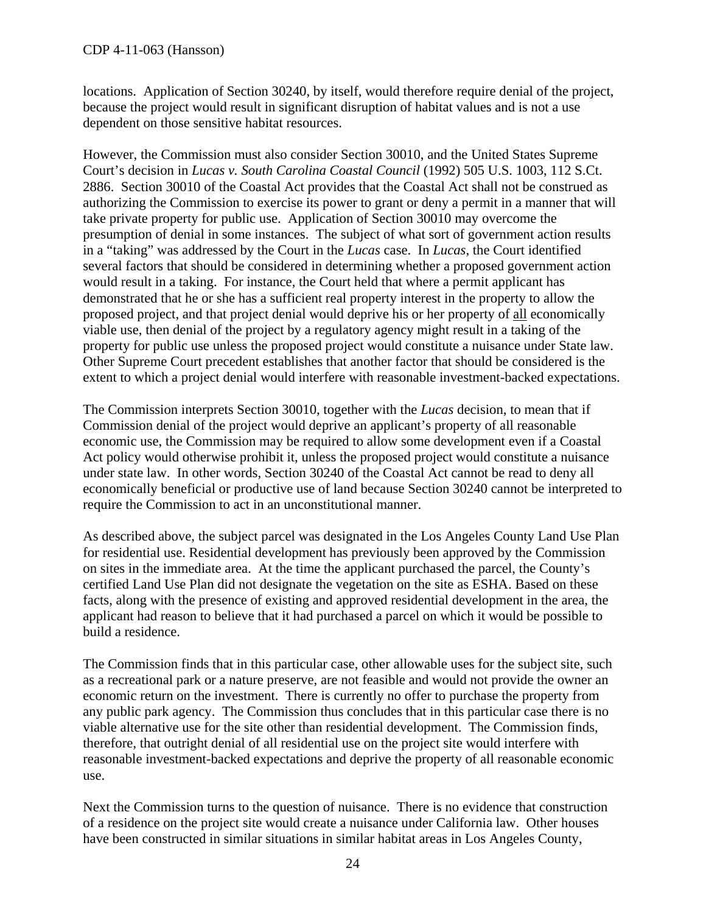locations. Application of Section 30240, by itself, would therefore require denial of the project, because the project would result in significant disruption of habitat values and is not a use dependent on those sensitive habitat resources.

However, the Commission must also consider Section 30010, and the United States Supreme Court's decision in *Lucas v. South Carolina Coastal Council* (1992) 505 U.S. 1003, 112 S.Ct. 2886. Section 30010 of the Coastal Act provides that the Coastal Act shall not be construed as authorizing the Commission to exercise its power to grant or deny a permit in a manner that will take private property for public use. Application of Section 30010 may overcome the presumption of denial in some instances. The subject of what sort of government action results in a "taking" was addressed by the Court in the *Lucas* case. In *Lucas*, the Court identified several factors that should be considered in determining whether a proposed government action would result in a taking. For instance, the Court held that where a permit applicant has demonstrated that he or she has a sufficient real property interest in the property to allow the proposed project, and that project denial would deprive his or her property of all economically viable use, then denial of the project by a regulatory agency might result in a taking of the property for public use unless the proposed project would constitute a nuisance under State law. Other Supreme Court precedent establishes that another factor that should be considered is the extent to which a project denial would interfere with reasonable investment-backed expectations.

The Commission interprets Section 30010, together with the *Lucas* decision, to mean that if Commission denial of the project would deprive an applicant's property of all reasonable economic use, the Commission may be required to allow some development even if a Coastal Act policy would otherwise prohibit it, unless the proposed project would constitute a nuisance under state law. In other words, Section 30240 of the Coastal Act cannot be read to deny all economically beneficial or productive use of land because Section 30240 cannot be interpreted to require the Commission to act in an unconstitutional manner.

As described above, the subject parcel was designated in the Los Angeles County Land Use Plan for residential use. Residential development has previously been approved by the Commission on sites in the immediate area. At the time the applicant purchased the parcel, the County's certified Land Use Plan did not designate the vegetation on the site as ESHA. Based on these facts, along with the presence of existing and approved residential development in the area, the applicant had reason to believe that it had purchased a parcel on which it would be possible to build a residence.

The Commission finds that in this particular case, other allowable uses for the subject site, such as a recreational park or a nature preserve, are not feasible and would not provide the owner an economic return on the investment. There is currently no offer to purchase the property from any public park agency. The Commission thus concludes that in this particular case there is no viable alternative use for the site other than residential development. The Commission finds, therefore, that outright denial of all residential use on the project site would interfere with reasonable investment-backed expectations and deprive the property of all reasonable economic use.

Next the Commission turns to the question of nuisance. There is no evidence that construction of a residence on the project site would create a nuisance under California law. Other houses have been constructed in similar situations in similar habitat areas in Los Angeles County,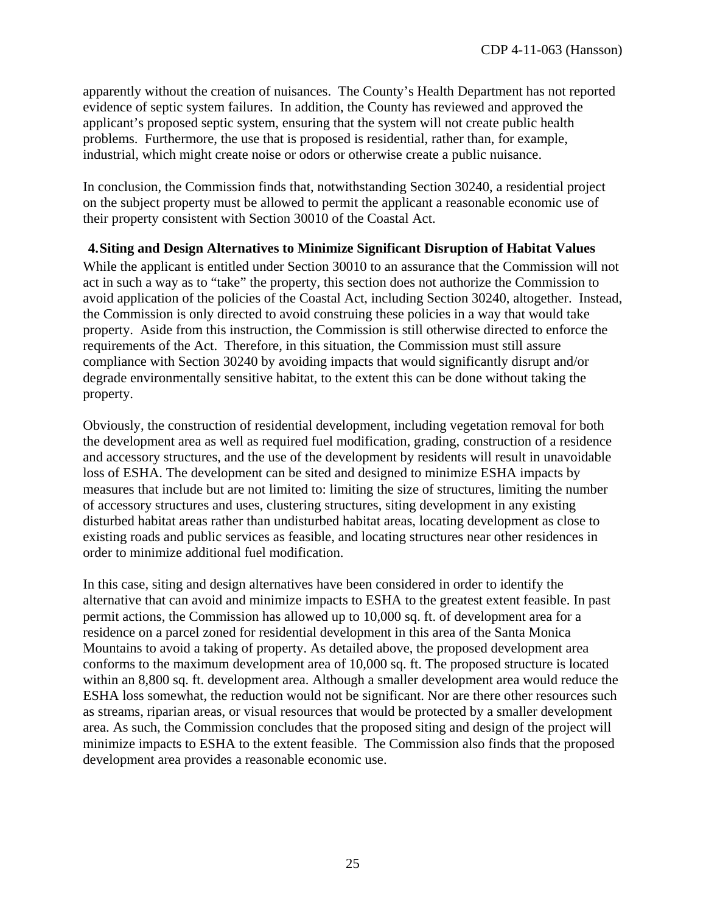apparently without the creation of nuisances. The County's Health Department has not reported evidence of septic system failures. In addition, the County has reviewed and approved the applicant's proposed septic system, ensuring that the system will not create public health problems. Furthermore, the use that is proposed is residential, rather than, for example, industrial, which might create noise or odors or otherwise create a public nuisance.

In conclusion, the Commission finds that, notwithstanding Section 30240, a residential project on the subject property must be allowed to permit the applicant a reasonable economic use of their property consistent with Section 30010 of the Coastal Act.

**4.Siting and Design Alternatives to Minimize Significant Disruption of Habitat Values**  While the applicant is entitled under Section 30010 to an assurance that the Commission will not act in such a way as to "take" the property, this section does not authorize the Commission to avoid application of the policies of the Coastal Act, including Section 30240, altogether. Instead, the Commission is only directed to avoid construing these policies in a way that would take property. Aside from this instruction, the Commission is still otherwise directed to enforce the requirements of the Act. Therefore, in this situation, the Commission must still assure compliance with Section 30240 by avoiding impacts that would significantly disrupt and/or degrade environmentally sensitive habitat, to the extent this can be done without taking the property.

Obviously, the construction of residential development, including vegetation removal for both the development area as well as required fuel modification, grading, construction of a residence and accessory structures, and the use of the development by residents will result in unavoidable loss of ESHA. The development can be sited and designed to minimize ESHA impacts by measures that include but are not limited to: limiting the size of structures, limiting the number of accessory structures and uses, clustering structures, siting development in any existing disturbed habitat areas rather than undisturbed habitat areas, locating development as close to existing roads and public services as feasible, and locating structures near other residences in order to minimize additional fuel modification.

In this case, siting and design alternatives have been considered in order to identify the alternative that can avoid and minimize impacts to ESHA to the greatest extent feasible. In past permit actions, the Commission has allowed up to 10,000 sq. ft. of development area for a residence on a parcel zoned for residential development in this area of the Santa Monica Mountains to avoid a taking of property. As detailed above, the proposed development area conforms to the maximum development area of 10,000 sq. ft. The proposed structure is located within an 8,800 sq. ft. development area. Although a smaller development area would reduce the ESHA loss somewhat, the reduction would not be significant. Nor are there other resources such as streams, riparian areas, or visual resources that would be protected by a smaller development area. As such, the Commission concludes that the proposed siting and design of the project will minimize impacts to ESHA to the extent feasible. The Commission also finds that the proposed development area provides a reasonable economic use.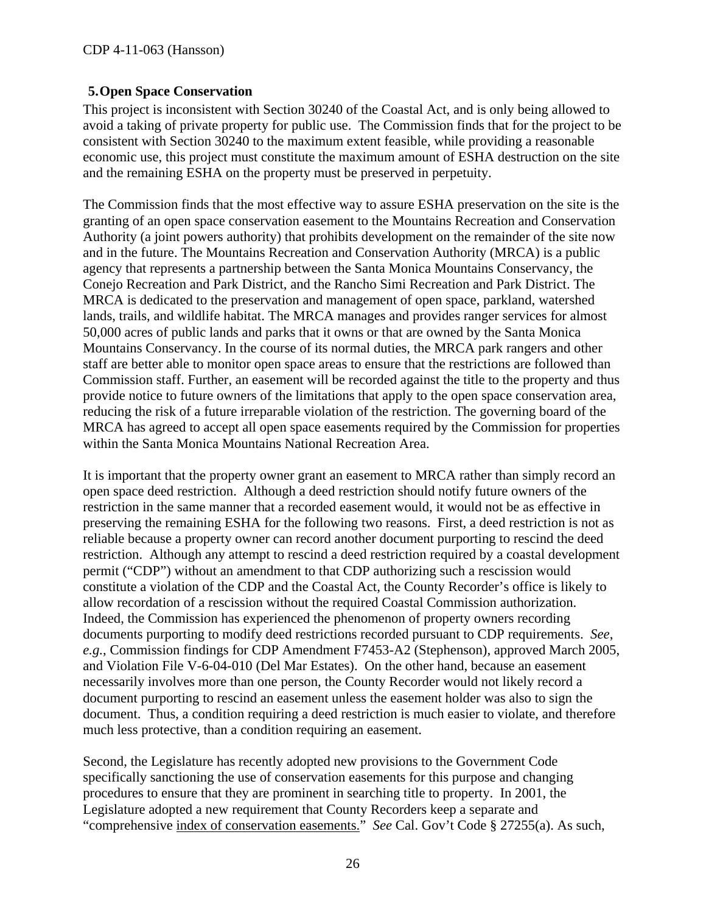#### **5.Open Space Conservation**

This project is inconsistent with Section 30240 of the Coastal Act, and is only being allowed to avoid a taking of private property for public use. The Commission finds that for the project to be consistent with Section 30240 to the maximum extent feasible, while providing a reasonable economic use, this project must constitute the maximum amount of ESHA destruction on the site and the remaining ESHA on the property must be preserved in perpetuity.

The Commission finds that the most effective way to assure ESHA preservation on the site is the granting of an open space conservation easement to the Mountains Recreation and Conservation Authority (a joint powers authority) that prohibits development on the remainder of the site now and in the future. The Mountains Recreation and Conservation Authority (MRCA) is a public agency that represents a partnership between the Santa Monica Mountains Conservancy, the Conejo Recreation and Park District, and the Rancho Simi Recreation and Park District. The MRCA is dedicated to the preservation and management of open space, parkland, watershed lands, trails, and wildlife habitat. The MRCA manages and provides ranger services for almost 50,000 acres of public lands and parks that it owns or that are owned by the Santa Monica Mountains Conservancy. In the course of its normal duties, the MRCA park rangers and other staff are better able to monitor open space areas to ensure that the restrictions are followed than Commission staff. Further, an easement will be recorded against the title to the property and thus provide notice to future owners of the limitations that apply to the open space conservation area, reducing the risk of a future irreparable violation of the restriction. The governing board of the MRCA has agreed to accept all open space easements required by the Commission for properties within the Santa Monica Mountains National Recreation Area.

It is important that the property owner grant an easement to MRCA rather than simply record an open space deed restriction. Although a deed restriction should notify future owners of the restriction in the same manner that a recorded easement would, it would not be as effective in preserving the remaining ESHA for the following two reasons. First, a deed restriction is not as reliable because a property owner can record another document purporting to rescind the deed restriction. Although any attempt to rescind a deed restriction required by a coastal development permit ("CDP") without an amendment to that CDP authorizing such a rescission would constitute a violation of the CDP and the Coastal Act, the County Recorder's office is likely to allow recordation of a rescission without the required Coastal Commission authorization. Indeed, the Commission has experienced the phenomenon of property owners recording documents purporting to modify deed restrictions recorded pursuant to CDP requirements. *See*, *e.g.*, Commission findings for CDP Amendment F7453-A2 (Stephenson), approved March 2005, and Violation File V-6-04-010 (Del Mar Estates). On the other hand, because an easement necessarily involves more than one person, the County Recorder would not likely record a document purporting to rescind an easement unless the easement holder was also to sign the document. Thus, a condition requiring a deed restriction is much easier to violate, and therefore much less protective, than a condition requiring an easement.

Second, the Legislature has recently adopted new provisions to the Government Code specifically sanctioning the use of conservation easements for this purpose and changing procedures to ensure that they are prominent in searching title to property. In 2001, the Legislature adopted a new requirement that County Recorders keep a separate and "comprehensive index of conservation easements." *See* Cal. Gov't Code § 27255(a). As such,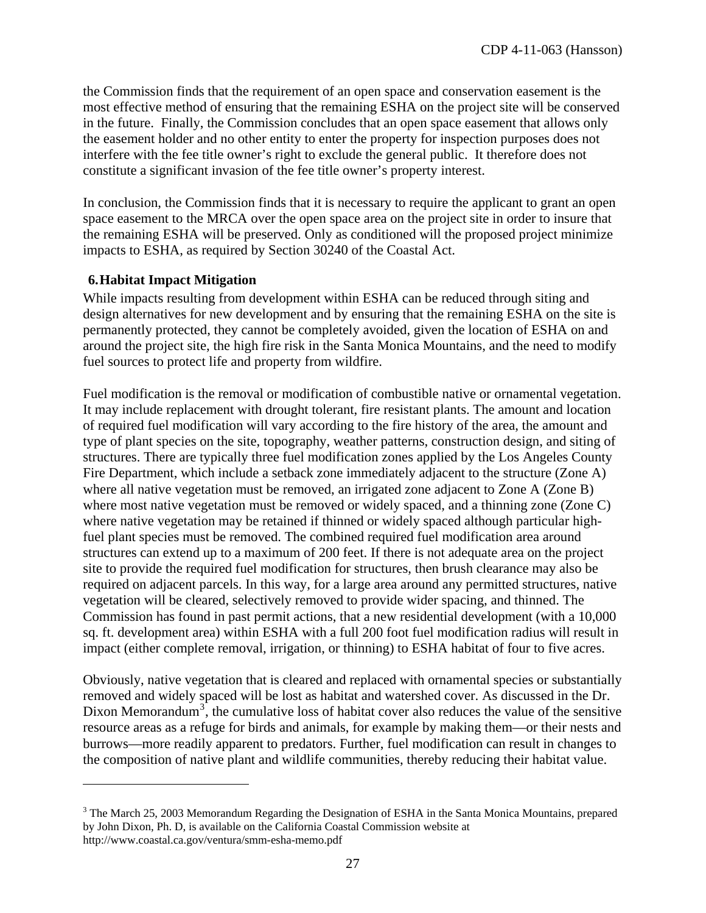the Commission finds that the requirement of an open space and conservation easement is the most effective method of ensuring that the remaining ESHA on the project site will be conserved in the future. Finally, the Commission concludes that an open space easement that allows only the easement holder and no other entity to enter the property for inspection purposes does not interfere with the fee title owner's right to exclude the general public. It therefore does not constitute a significant invasion of the fee title owner's property interest.

In conclusion, the Commission finds that it is necessary to require the applicant to grant an open space easement to the MRCA over the open space area on the project site in order to insure that the remaining ESHA will be preserved. Only as conditioned will the proposed project minimize impacts to ESHA, as required by Section 30240 of the Coastal Act.

#### **6.Habitat Impact Mitigation**

 $\overline{a}$ 

While impacts resulting from development within ESHA can be reduced through siting and design alternatives for new development and by ensuring that the remaining ESHA on the site is permanently protected, they cannot be completely avoided, given the location of ESHA on and around the project site, the high fire risk in the Santa Monica Mountains, and the need to modify fuel sources to protect life and property from wildfire.

Fuel modification is the removal or modification of combustible native or ornamental vegetation. It may include replacement with drought tolerant, fire resistant plants. The amount and location of required fuel modification will vary according to the fire history of the area, the amount and type of plant species on the site, topography, weather patterns, construction design, and siting of structures. There are typically three fuel modification zones applied by the Los Angeles County Fire Department, which include a setback zone immediately adjacent to the structure (Zone A) where all native vegetation must be removed, an irrigated zone adjacent to Zone A (Zone B) where most native vegetation must be removed or widely spaced, and a thinning zone (Zone C) where native vegetation may be retained if thinned or widely spaced although particular highfuel plant species must be removed. The combined required fuel modification area around structures can extend up to a maximum of 200 feet. If there is not adequate area on the project site to provide the required fuel modification for structures, then brush clearance may also be required on adjacent parcels. In this way, for a large area around any permitted structures, native vegetation will be cleared, selectively removed to provide wider spacing, and thinned. The Commission has found in past permit actions, that a new residential development (with a 10,000 sq. ft. development area) within ESHA with a full 200 foot fuel modification radius will result in impact (either complete removal, irrigation, or thinning) to ESHA habitat of four to five acres.

Obviously, native vegetation that is cleared and replaced with ornamental species or substantially removed and widely spaced will be lost as habitat and watershed cover. As discussed in the Dr. Dixon Memorandum<sup>[3](#page-22-1)</sup>, the cumulative loss of habitat cover also reduces the value of the sensitive resource areas as a refuge for birds and animals, for example by making them—or their nests and burrows—more readily apparent to predators. Further, fuel modification can result in changes to the composition of native plant and wildlife communities, thereby reducing their habitat value.

 $3$  The March 25, 2003 Memorandum Regarding the Designation of ESHA in the Santa Monica Mountains, prepared by John Dixon, Ph. D, is available on the California Coastal Commission website at http://www.coastal.ca.gov/ventura/smm-esha-memo.pdf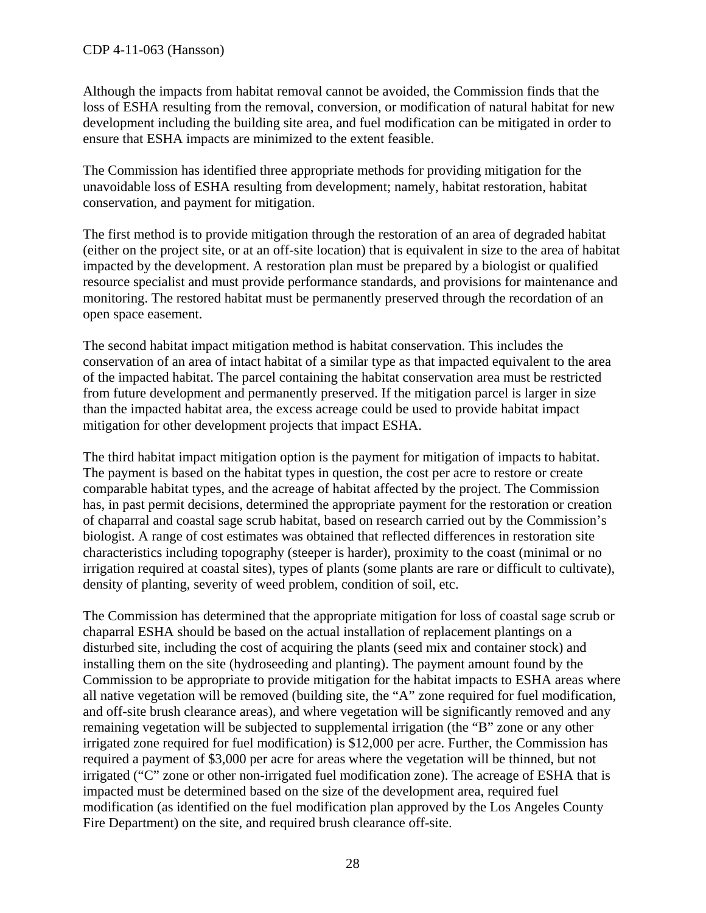Although the impacts from habitat removal cannot be avoided, the Commission finds that the loss of ESHA resulting from the removal, conversion, or modification of natural habitat for new development including the building site area, and fuel modification can be mitigated in order to ensure that ESHA impacts are minimized to the extent feasible.

The Commission has identified three appropriate methods for providing mitigation for the unavoidable loss of ESHA resulting from development; namely, habitat restoration, habitat conservation, and payment for mitigation.

The first method is to provide mitigation through the restoration of an area of degraded habitat (either on the project site, or at an off-site location) that is equivalent in size to the area of habitat impacted by the development. A restoration plan must be prepared by a biologist or qualified resource specialist and must provide performance standards, and provisions for maintenance and monitoring. The restored habitat must be permanently preserved through the recordation of an open space easement.

The second habitat impact mitigation method is habitat conservation. This includes the conservation of an area of intact habitat of a similar type as that impacted equivalent to the area of the impacted habitat. The parcel containing the habitat conservation area must be restricted from future development and permanently preserved. If the mitigation parcel is larger in size than the impacted habitat area, the excess acreage could be used to provide habitat impact mitigation for other development projects that impact ESHA.

The third habitat impact mitigation option is the payment for mitigation of impacts to habitat. The payment is based on the habitat types in question, the cost per acre to restore or create comparable habitat types, and the acreage of habitat affected by the project. The Commission has, in past permit decisions, determined the appropriate payment for the restoration or creation of chaparral and coastal sage scrub habitat, based on research carried out by the Commission's biologist. A range of cost estimates was obtained that reflected differences in restoration site characteristics including topography (steeper is harder), proximity to the coast (minimal or no irrigation required at coastal sites), types of plants (some plants are rare or difficult to cultivate), density of planting, severity of weed problem, condition of soil, etc.

The Commission has determined that the appropriate mitigation for loss of coastal sage scrub or chaparral ESHA should be based on the actual installation of replacement plantings on a disturbed site, including the cost of acquiring the plants (seed mix and container stock) and installing them on the site (hydroseeding and planting). The payment amount found by the Commission to be appropriate to provide mitigation for the habitat impacts to ESHA areas where all native vegetation will be removed (building site, the "A" zone required for fuel modification, and off-site brush clearance areas), and where vegetation will be significantly removed and any remaining vegetation will be subjected to supplemental irrigation (the "B" zone or any other irrigated zone required for fuel modification) is \$12,000 per acre. Further, the Commission has required a payment of \$3,000 per acre for areas where the vegetation will be thinned, but not irrigated ("C" zone or other non-irrigated fuel modification zone). The acreage of ESHA that is impacted must be determined based on the size of the development area, required fuel modification (as identified on the fuel modification plan approved by the Los Angeles County Fire Department) on the site, and required brush clearance off-site.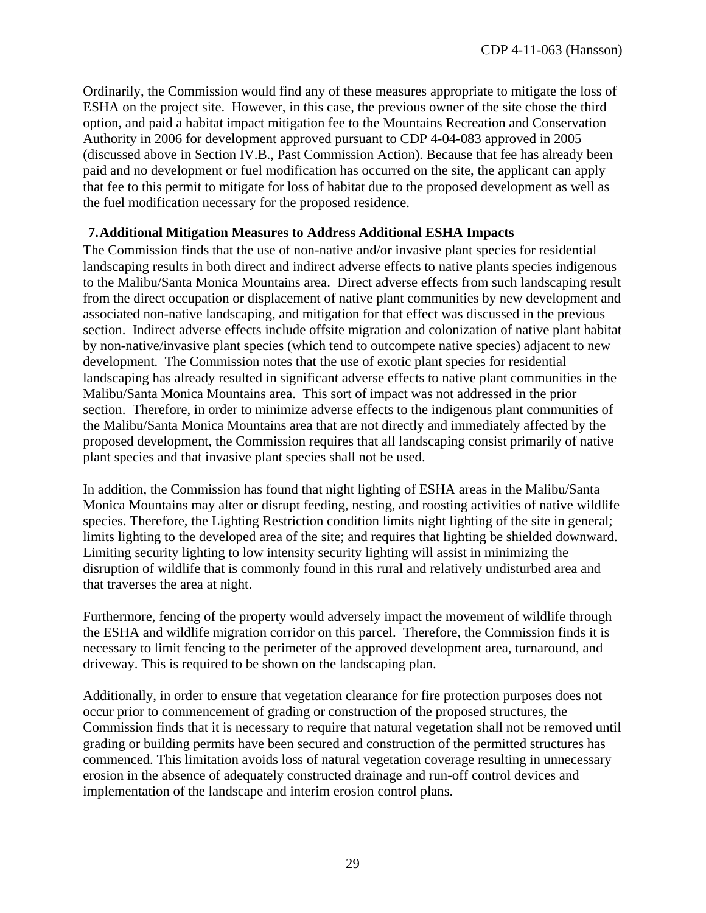Ordinarily, the Commission would find any of these measures appropriate to mitigate the loss of ESHA on the project site. However, in this case, the previous owner of the site chose the third option, and paid a habitat impact mitigation fee to the Mountains Recreation and Conservation Authority in 2006 for development approved pursuant to CDP 4-04-083 approved in 2005 (discussed above in Section IV.B., Past Commission Action). Because that fee has already been paid and no development or fuel modification has occurred on the site, the applicant can apply that fee to this permit to mitigate for loss of habitat due to the proposed development as well as the fuel modification necessary for the proposed residence.

#### **7.Additional Mitigation Measures to Address Additional ESHA Impacts**

The Commission finds that the use of non-native and/or invasive plant species for residential landscaping results in both direct and indirect adverse effects to native plants species indigenous to the Malibu/Santa Monica Mountains area. Direct adverse effects from such landscaping result from the direct occupation or displacement of native plant communities by new development and associated non-native landscaping, and mitigation for that effect was discussed in the previous section. Indirect adverse effects include offsite migration and colonization of native plant habitat by non-native/invasive plant species (which tend to outcompete native species) adjacent to new development. The Commission notes that the use of exotic plant species for residential landscaping has already resulted in significant adverse effects to native plant communities in the Malibu/Santa Monica Mountains area. This sort of impact was not addressed in the prior section. Therefore, in order to minimize adverse effects to the indigenous plant communities of the Malibu/Santa Monica Mountains area that are not directly and immediately affected by the proposed development, the Commission requires that all landscaping consist primarily of native plant species and that invasive plant species shall not be used.

In addition, the Commission has found that night lighting of ESHA areas in the Malibu/Santa Monica Mountains may alter or disrupt feeding, nesting, and roosting activities of native wildlife species. Therefore, the Lighting Restriction condition limits night lighting of the site in general; limits lighting to the developed area of the site; and requires that lighting be shielded downward. Limiting security lighting to low intensity security lighting will assist in minimizing the disruption of wildlife that is commonly found in this rural and relatively undisturbed area and that traverses the area at night.

Furthermore, fencing of the property would adversely impact the movement of wildlife through the ESHA and wildlife migration corridor on this parcel. Therefore, the Commission finds it is necessary to limit fencing to the perimeter of the approved development area, turnaround, and driveway. This is required to be shown on the landscaping plan.

Additionally, in order to ensure that vegetation clearance for fire protection purposes does not occur prior to commencement of grading or construction of the proposed structures, the Commission finds that it is necessary to require that natural vegetation shall not be removed until grading or building permits have been secured and construction of the permitted structures has commenced. This limitation avoids loss of natural vegetation coverage resulting in unnecessary erosion in the absence of adequately constructed drainage and run-off control devices and implementation of the landscape and interim erosion control plans.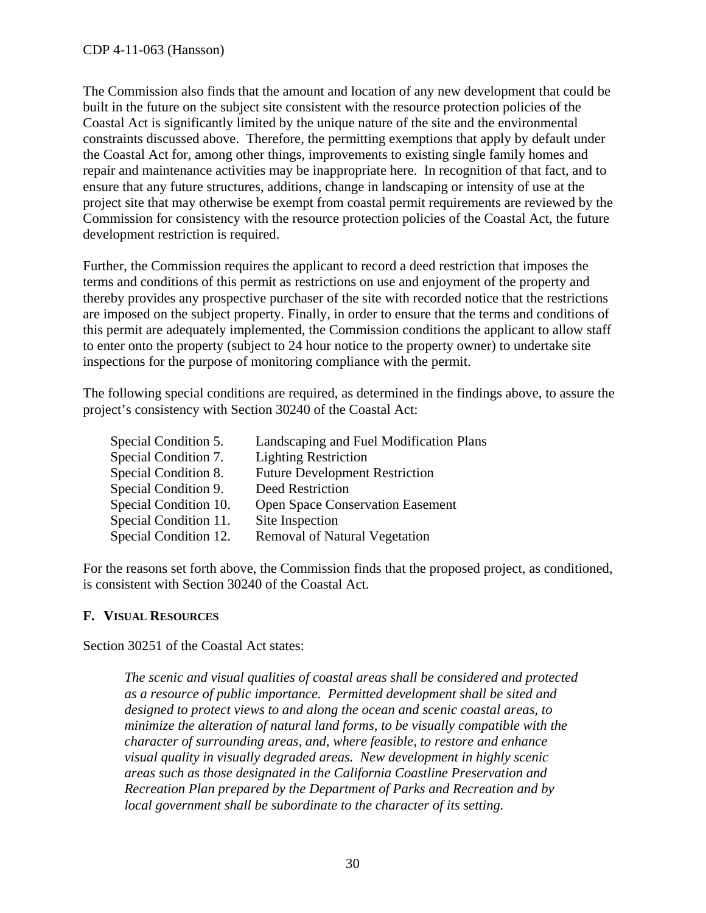The Commission also finds that the amount and location of any new development that could be built in the future on the subject site consistent with the resource protection policies of the Coastal Act is significantly limited by the unique nature of the site and the environmental constraints discussed above. Therefore, the permitting exemptions that apply by default under the Coastal Act for, among other things, improvements to existing single family homes and repair and maintenance activities may be inappropriate here. In recognition of that fact, and to ensure that any future structures, additions, change in landscaping or intensity of use at the project site that may otherwise be exempt from coastal permit requirements are reviewed by the Commission for consistency with the resource protection policies of the Coastal Act, the future development restriction is required.

Further, the Commission requires the applicant to record a deed restriction that imposes the terms and conditions of this permit as restrictions on use and enjoyment of the property and thereby provides any prospective purchaser of the site with recorded notice that the restrictions are imposed on the subject property. Finally, in order to ensure that the terms and conditions of this permit are adequately implemented, the Commission conditions the applicant to allow staff to enter onto the property (subject to 24 hour notice to the property owner) to undertake site inspections for the purpose of monitoring compliance with the permit.

The following special conditions are required, as determined in the findings above, to assure the project's consistency with Section 30240 of the Coastal Act:

| Special Condition 5.  | Landscaping and Fuel Modification Plans |
|-----------------------|-----------------------------------------|
| Special Condition 7.  | <b>Lighting Restriction</b>             |
| Special Condition 8.  | <b>Future Development Restriction</b>   |
| Special Condition 9.  | Deed Restriction                        |
| Special Condition 10. | <b>Open Space Conservation Easement</b> |
| Special Condition 11. | Site Inspection                         |
| Special Condition 12. | <b>Removal of Natural Vegetation</b>    |

For the reasons set forth above, the Commission finds that the proposed project, as conditioned, is consistent with Section 30240 of the Coastal Act.

#### <span id="page-29-0"></span>**F. VISUAL RESOURCES**

Section 30251 of the Coastal Act states:

*The scenic and visual qualities of coastal areas shall be considered and protected as a resource of public importance. Permitted development shall be sited and designed to protect views to and along the ocean and scenic coastal areas, to minimize the alteration of natural land forms, to be visually compatible with the character of surrounding areas, and, where feasible, to restore and enhance visual quality in visually degraded areas. New development in highly scenic areas such as those designated in the California Coastline Preservation and Recreation Plan prepared by the Department of Parks and Recreation and by local government shall be subordinate to the character of its setting.*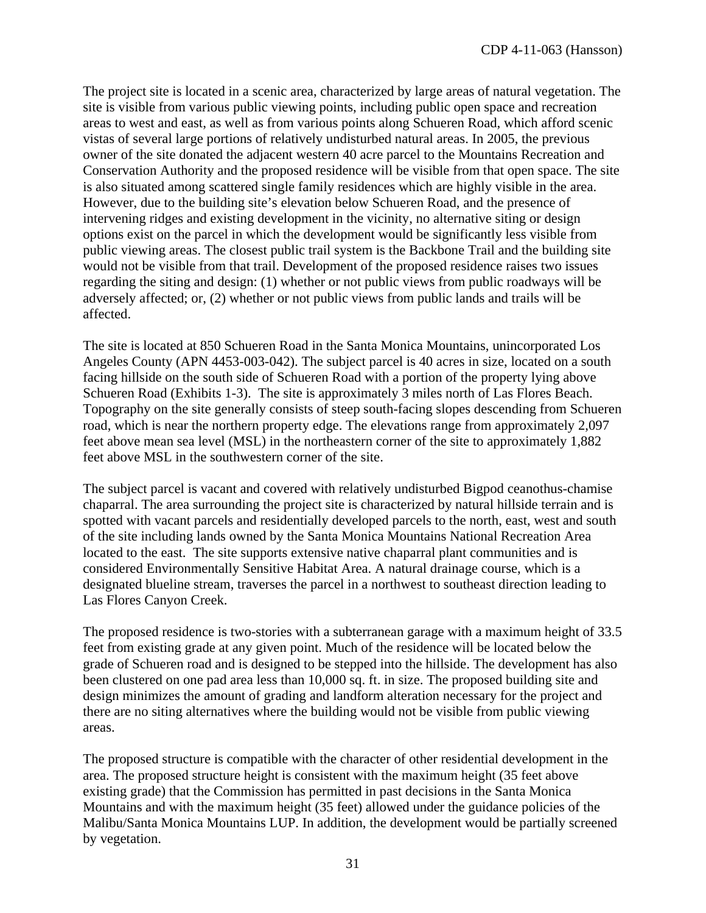The project site is located in a scenic area, characterized by large areas of natural vegetation. The site is visible from various public viewing points, including public open space and recreation areas to west and east, as well as from various points along Schueren Road, which afford scenic vistas of several large portions of relatively undisturbed natural areas. In 2005, the previous owner of the site donated the adjacent western 40 acre parcel to the Mountains Recreation and Conservation Authority and the proposed residence will be visible from that open space. The site is also situated among scattered single family residences which are highly visible in the area. However, due to the building site's elevation below Schueren Road, and the presence of intervening ridges and existing development in the vicinity, no alternative siting or design options exist on the parcel in which the development would be significantly less visible from public viewing areas. The closest public trail system is the Backbone Trail and the building site would not be visible from that trail. Development of the proposed residence raises two issues regarding the siting and design: (1) whether or not public views from public roadways will be adversely affected; or, (2) whether or not public views from public lands and trails will be affected.

The site is located at 850 Schueren Road in the Santa Monica Mountains, unincorporated Los Angeles County (APN 4453-003-042). The subject parcel is 40 acres in size, located on a south facing hillside on the south side of Schueren Road with a portion of the property lying above Schueren Road (Exhibits 1-3). The site is approximately 3 miles north of Las Flores Beach. Topography on the site generally consists of steep south-facing slopes descending from Schueren road, which is near the northern property edge. The elevations range from approximately 2,097 feet above mean sea level (MSL) in the northeastern corner of the site to approximately 1,882 feet above MSL in the southwestern corner of the site.

The subject parcel is vacant and covered with relatively undisturbed Bigpod ceanothus-chamise chaparral. The area surrounding the project site is characterized by natural hillside terrain and is spotted with vacant parcels and residentially developed parcels to the north, east, west and south of the site including lands owned by the Santa Monica Mountains National Recreation Area located to the east. The site supports extensive native chaparral plant communities and is considered Environmentally Sensitive Habitat Area. A natural drainage course, which is a designated blueline stream, traverses the parcel in a northwest to southeast direction leading to Las Flores Canyon Creek.

The proposed residence is two-stories with a subterranean garage with a maximum height of 33.5 feet from existing grade at any given point. Much of the residence will be located below the grade of Schueren road and is designed to be stepped into the hillside. The development has also been clustered on one pad area less than 10,000 sq. ft. in size. The proposed building site and design minimizes the amount of grading and landform alteration necessary for the project and there are no siting alternatives where the building would not be visible from public viewing areas.

The proposed structure is compatible with the character of other residential development in the area. The proposed structure height is consistent with the maximum height (35 feet above existing grade) that the Commission has permitted in past decisions in the Santa Monica Mountains and with the maximum height (35 feet) allowed under the guidance policies of the Malibu/Santa Monica Mountains LUP. In addition, the development would be partially screened by vegetation.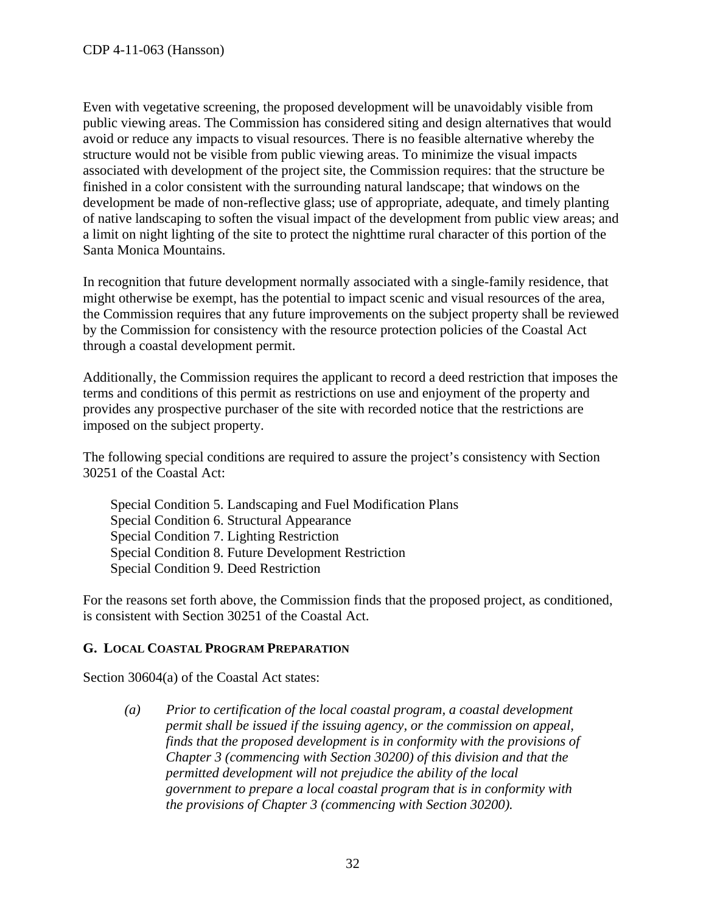Even with vegetative screening, the proposed development will be unavoidably visible from public viewing areas. The Commission has considered siting and design alternatives that would avoid or reduce any impacts to visual resources. There is no feasible alternative whereby the structure would not be visible from public viewing areas. To minimize the visual impacts associated with development of the project site, the Commission requires: that the structure be finished in a color consistent with the surrounding natural landscape; that windows on the development be made of non-reflective glass; use of appropriate, adequate, and timely planting of native landscaping to soften the visual impact of the development from public view areas; and a limit on night lighting of the site to protect the nighttime rural character of this portion of the Santa Monica Mountains.

In recognition that future development normally associated with a single-family residence, that might otherwise be exempt, has the potential to impact scenic and visual resources of the area, the Commission requires that any future improvements on the subject property shall be reviewed by the Commission for consistency with the resource protection policies of the Coastal Act through a coastal development permit.

Additionally, the Commission requires the applicant to record a deed restriction that imposes the terms and conditions of this permit as restrictions on use and enjoyment of the property and provides any prospective purchaser of the site with recorded notice that the restrictions are imposed on the subject property.

The following special conditions are required to assure the project's consistency with Section 30251 of the Coastal Act:

Special Condition 5. Landscaping and Fuel Modification Plans Special Condition 6. Structural Appearance Special Condition 7. Lighting Restriction Special Condition 8. Future Development Restriction Special Condition 9. Deed Restriction

For the reasons set forth above, the Commission finds that the proposed project, as conditioned, is consistent with Section 30251 of the Coastal Act.

#### <span id="page-31-0"></span>**G. LOCAL COASTAL PROGRAM PREPARATION**

Section 30604(a) of the Coastal Act states:

*(a) Prior to certification of the local coastal program, a coastal development permit shall be issued if the issuing agency, or the commission on appeal, finds that the proposed development is in conformity with the provisions of Chapter 3 (commencing with Section 30200) of this division and that the permitted development will not prejudice the ability of the local government to prepare a local coastal program that is in conformity with the provisions of Chapter 3 (commencing with Section 30200).*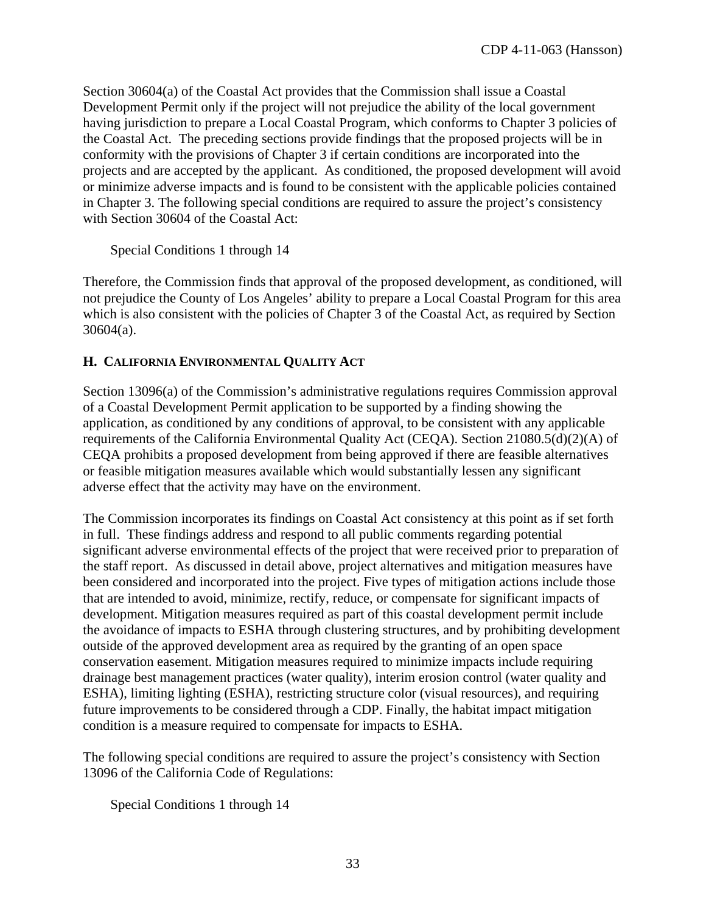Section 30604(a) of the Coastal Act provides that the Commission shall issue a Coastal Development Permit only if the project will not prejudice the ability of the local government having jurisdiction to prepare a Local Coastal Program, which conforms to Chapter 3 policies of the Coastal Act. The preceding sections provide findings that the proposed projects will be in conformity with the provisions of Chapter 3 if certain conditions are incorporated into the projects and are accepted by the applicant. As conditioned, the proposed development will avoid or minimize adverse impacts and is found to be consistent with the applicable policies contained in Chapter 3. The following special conditions are required to assure the project's consistency with Section 30604 of the Coastal Act:

Special Conditions 1 through 14

Therefore, the Commission finds that approval of the proposed development, as conditioned, will not prejudice the County of Los Angeles' ability to prepare a Local Coastal Program for this area which is also consistent with the policies of Chapter 3 of the Coastal Act, as required by Section 30604(a).

#### <span id="page-32-0"></span>**H. CALIFORNIA ENVIRONMENTAL QUALITY ACT**

Section 13096(a) of the Commission's administrative regulations requires Commission approval of a Coastal Development Permit application to be supported by a finding showing the application, as conditioned by any conditions of approval, to be consistent with any applicable requirements of the California Environmental Quality Act (CEQA). Section 21080.5(d)(2)(A) of CEQA prohibits a proposed development from being approved if there are feasible alternatives or feasible mitigation measures available which would substantially lessen any significant adverse effect that the activity may have on the environment.

The Commission incorporates its findings on Coastal Act consistency at this point as if set forth in full. These findings address and respond to all public comments regarding potential significant adverse environmental effects of the project that were received prior to preparation of the staff report. As discussed in detail above, project alternatives and mitigation measures have been considered and incorporated into the project. Five types of mitigation actions include those that are intended to avoid, minimize, rectify, reduce, or compensate for significant impacts of development. Mitigation measures required as part of this coastal development permit include the avoidance of impacts to ESHA through clustering structures, and by prohibiting development outside of the approved development area as required by the granting of an open space conservation easement. Mitigation measures required to minimize impacts include requiring drainage best management practices (water quality), interim erosion control (water quality and ESHA), limiting lighting (ESHA), restricting structure color (visual resources), and requiring future improvements to be considered through a CDP. Finally, the habitat impact mitigation condition is a measure required to compensate for impacts to ESHA.

The following special conditions are required to assure the project's consistency with Section 13096 of the California Code of Regulations:

Special Conditions 1 through 14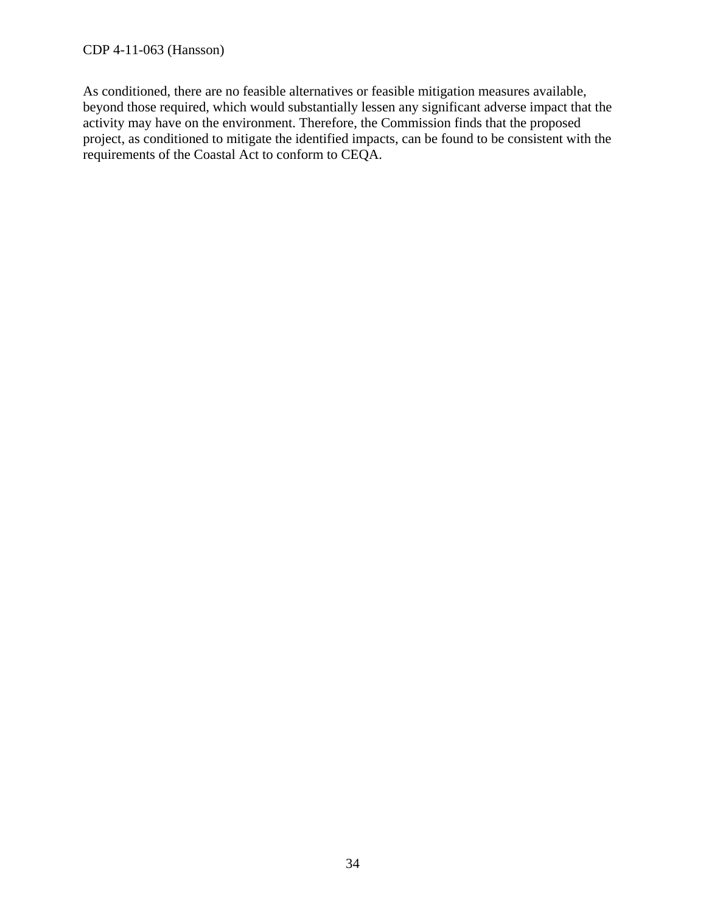As conditioned, there are no feasible alternatives or feasible mitigation measures available, beyond those required, which would substantially lessen any significant adverse impact that the activity may have on the environment. Therefore, the Commission finds that the proposed project, as conditioned to mitigate the identified impacts, can be found to be consistent with the requirements of the Coastal Act to conform to CEQA.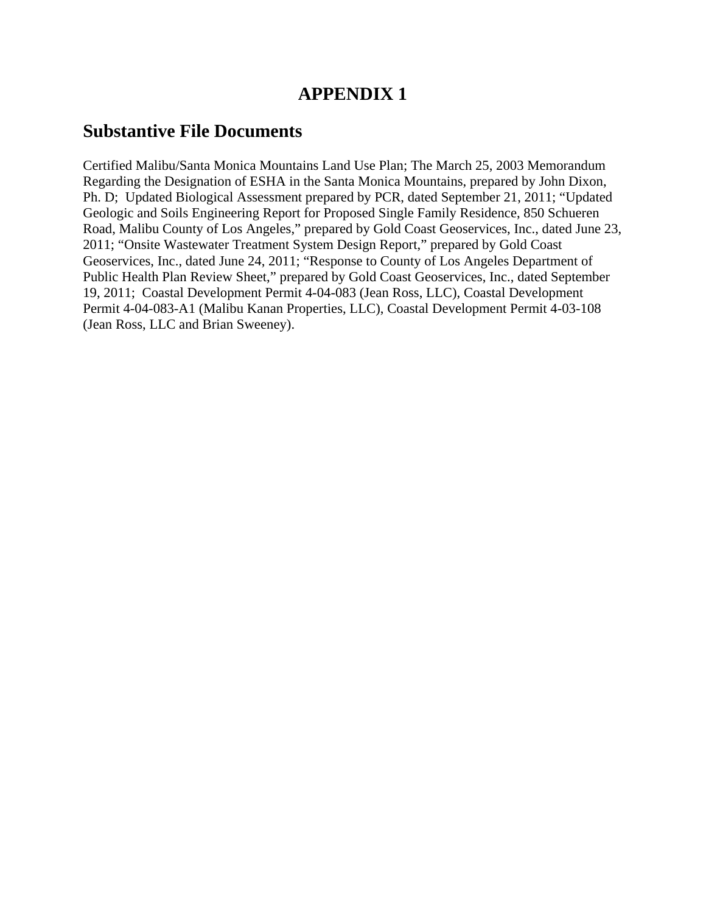## **APPENDIX 1**

## **Substantive File Documents**

Certified Malibu/Santa Monica Mountains Land Use Plan; The March 25, 2003 Memorandum Regarding the Designation of ESHA in the Santa Monica Mountains, prepared by John Dixon, Ph. D; Updated Biological Assessment prepared by PCR, dated September 21, 2011; "Updated Geologic and Soils Engineering Report for Proposed Single Family Residence, 850 Schueren Road, Malibu County of Los Angeles," prepared by Gold Coast Geoservices, Inc., dated June 23, 2011; "Onsite Wastewater Treatment System Design Report," prepared by Gold Coast Geoservices, Inc., dated June 24, 2011; "Response to County of Los Angeles Department of Public Health Plan Review Sheet," prepared by Gold Coast Geoservices, Inc., dated September 19, 2011; Coastal Development Permit 4-04-083 (Jean Ross, LLC), Coastal Development Permit 4-04-083-A1 (Malibu Kanan Properties, LLC), Coastal Development Permit 4-03-108 (Jean Ross, LLC and Brian Sweeney).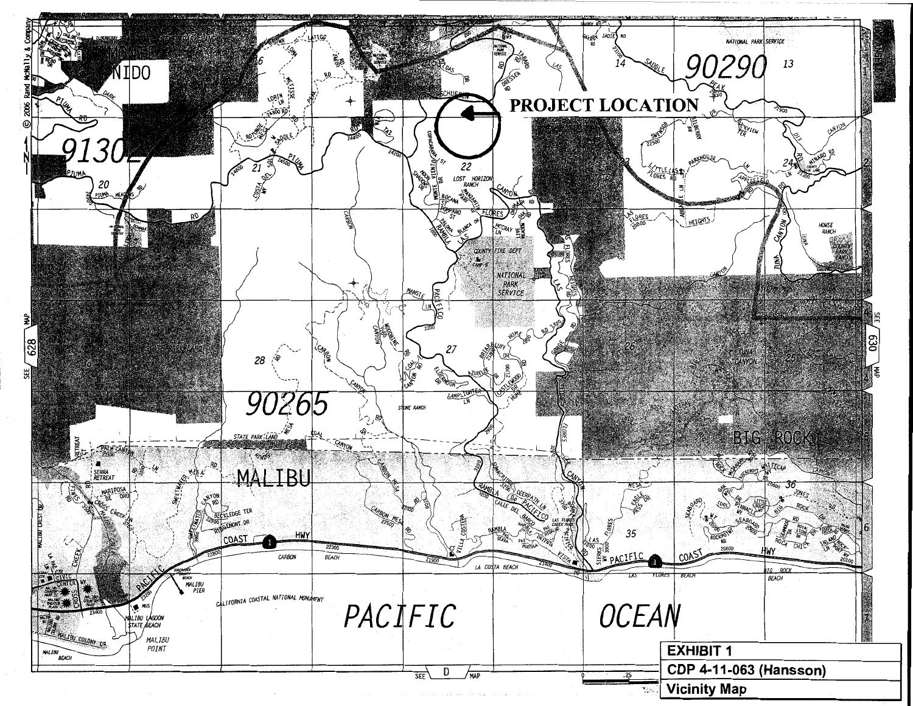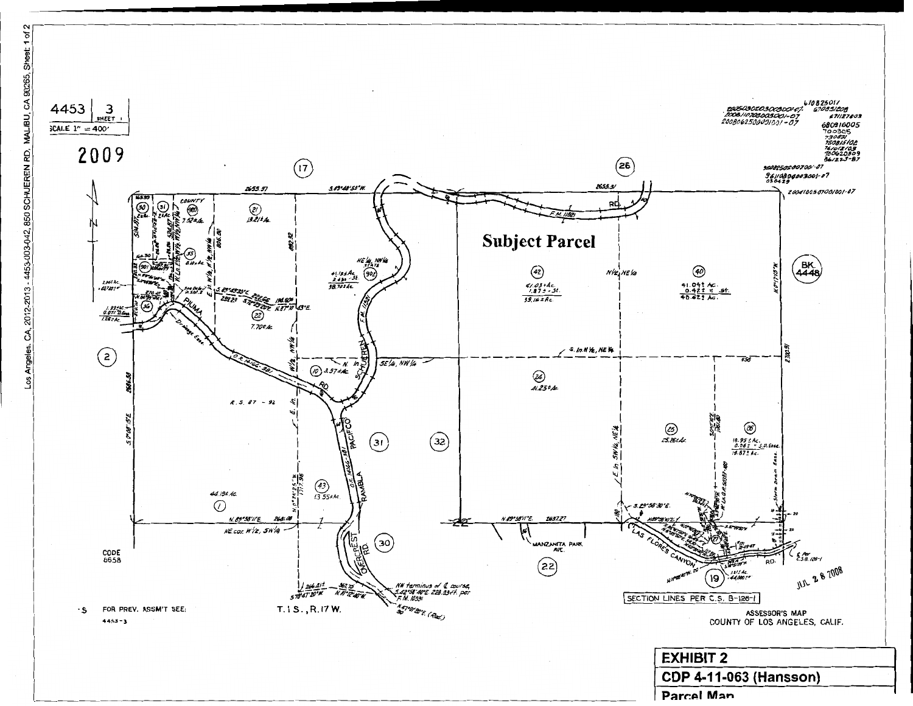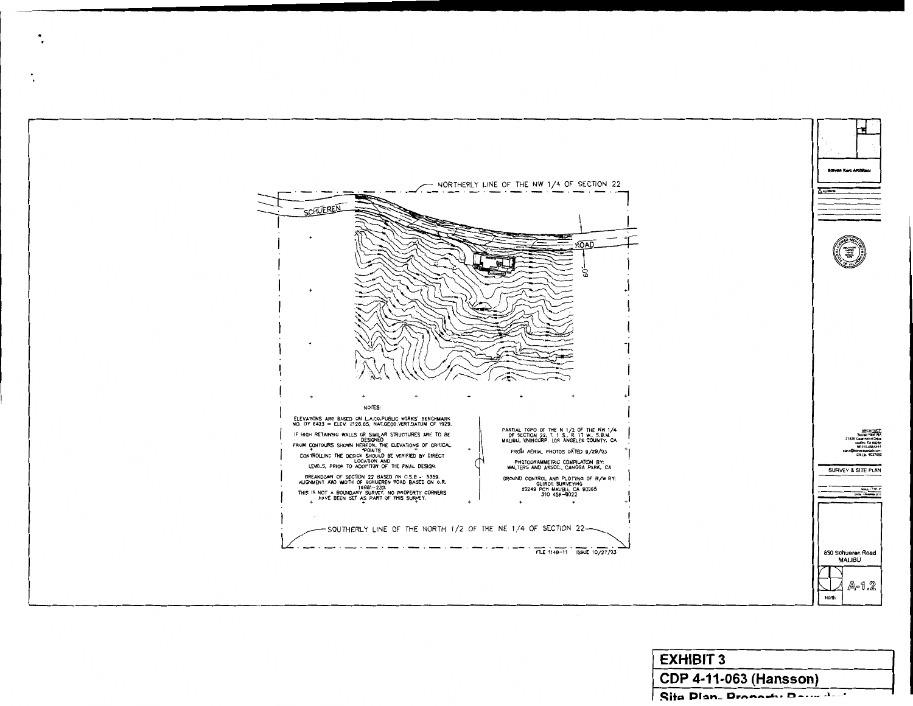

| <b>EXHIBIT 3</b>              |  |  |
|-------------------------------|--|--|
| <b>CDP 4-11-063 (Hansson)</b> |  |  |
| Site Plan. Proposity Parmated |  |  |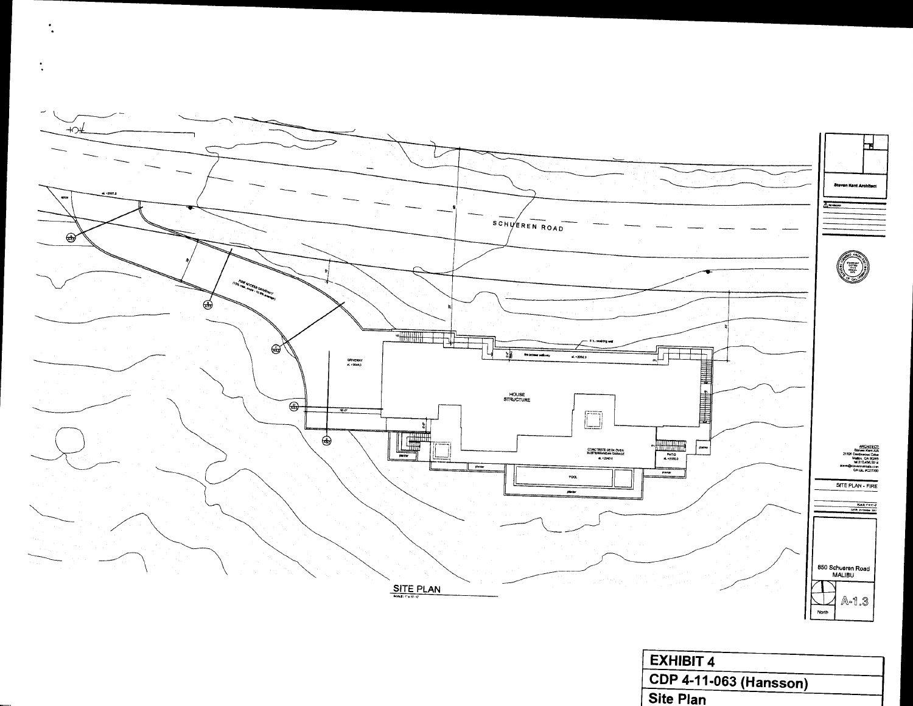

 $\bullet$ 

 $\bullet$ 

| <b>CDP 4-11-063 (Hansson)</b> |  |
|-------------------------------|--|
| <b>Site Plan</b>              |  |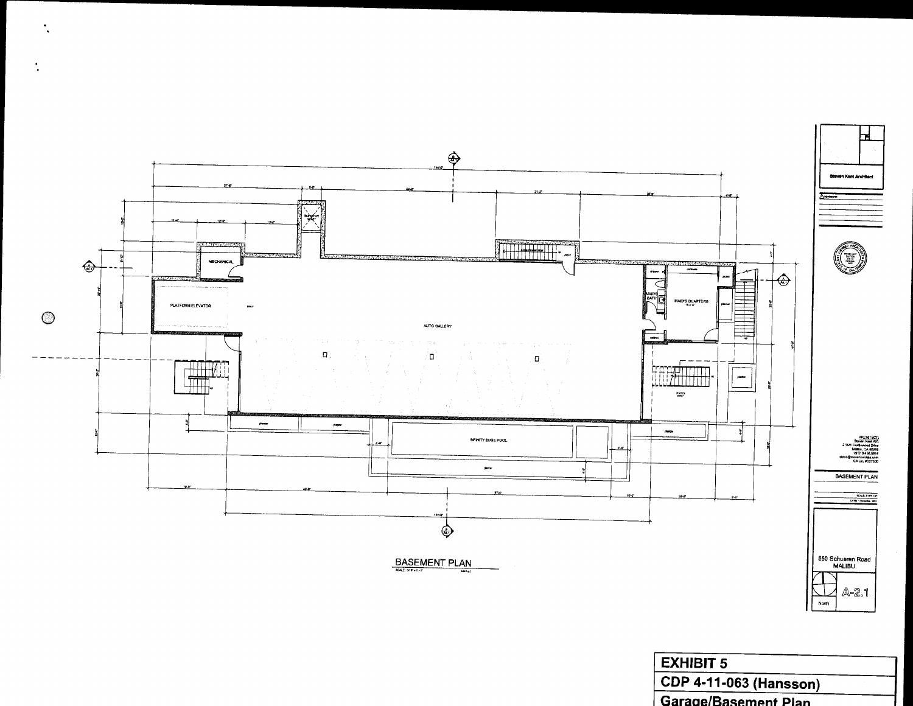

| <b>EXHIBIT 5</b>              |  |
|-------------------------------|--|
| <b>CDP 4-11-063 (Hansson)</b> |  |
| Garago/Rocomont Dies          |  |

 $\frac{1}{2}$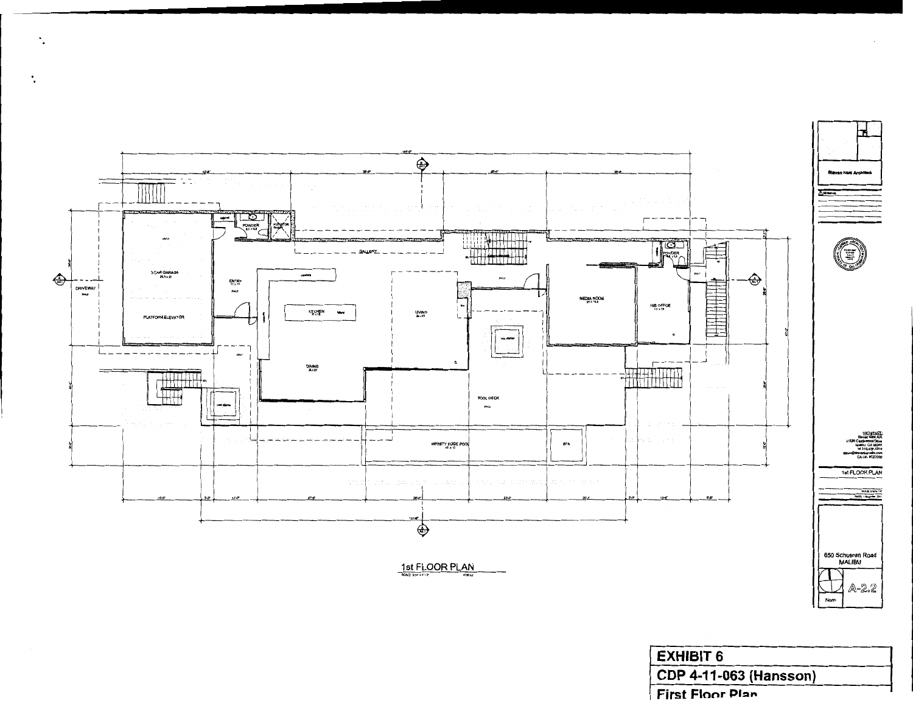

 $\ddot{\phantom{a}}$  .

٠.

| <b>EXHIBIT 6</b>              |
|-------------------------------|
| <b>CDP 4-11-063 (Hansson)</b> |
| <b>First Floor Plan</b>       |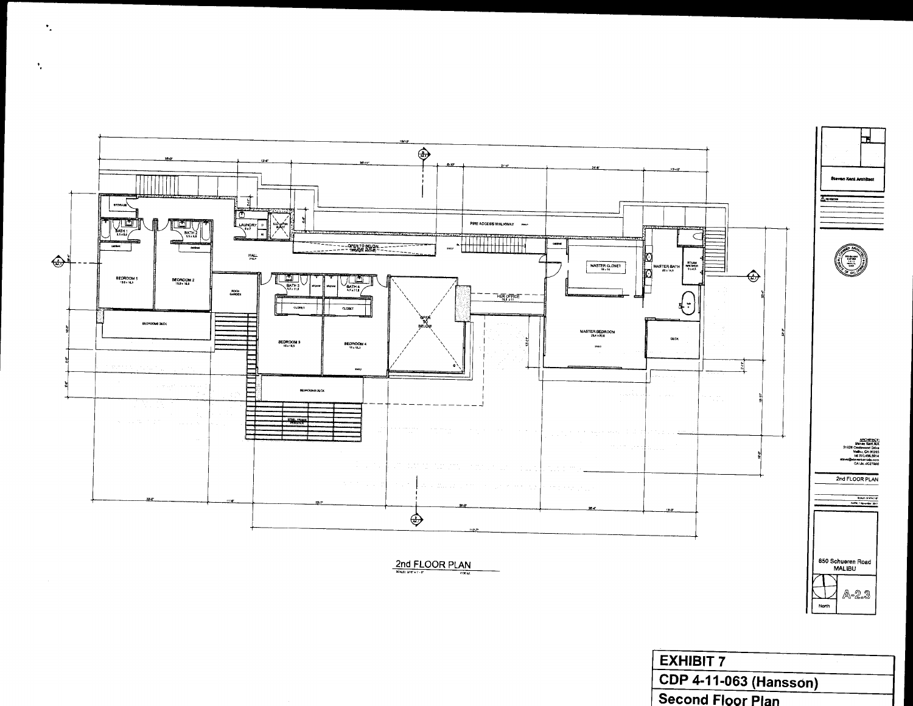

÷.

 $\mathcal{F}_{\mathcal{E}}$ 

| EXHIBIT 7                |  |
|--------------------------|--|
| CDP 4-11-063 (Hansson)   |  |
| <b>Second Floor Plan</b> |  |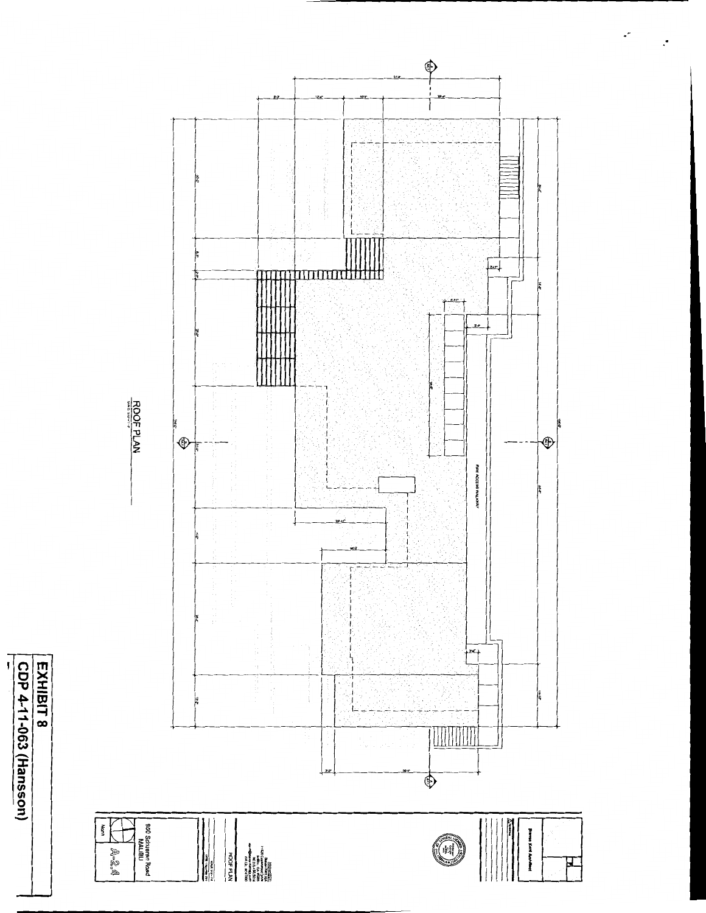





 $\cdot$ 

 $\cdot$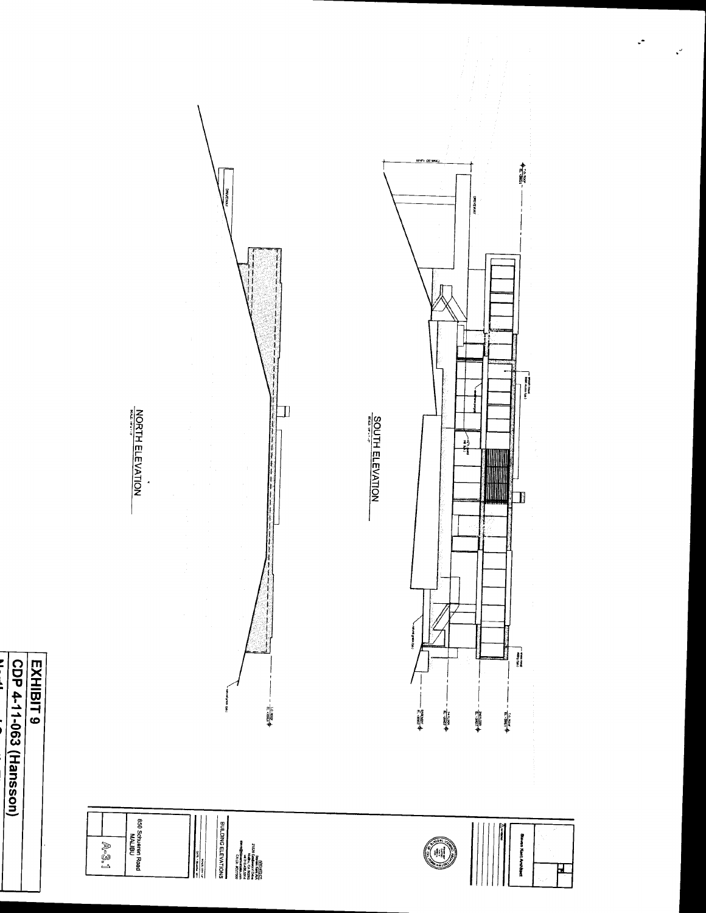



ias Apenas, laso<br>An dil Show



I ∐

 $+ \frac{100000}{100000} -$ 

 $+ \frac{1}{2} \frac{1}{2} \frac{1}{2} \frac{1}{2} \frac{1}{2}$ 

Ξ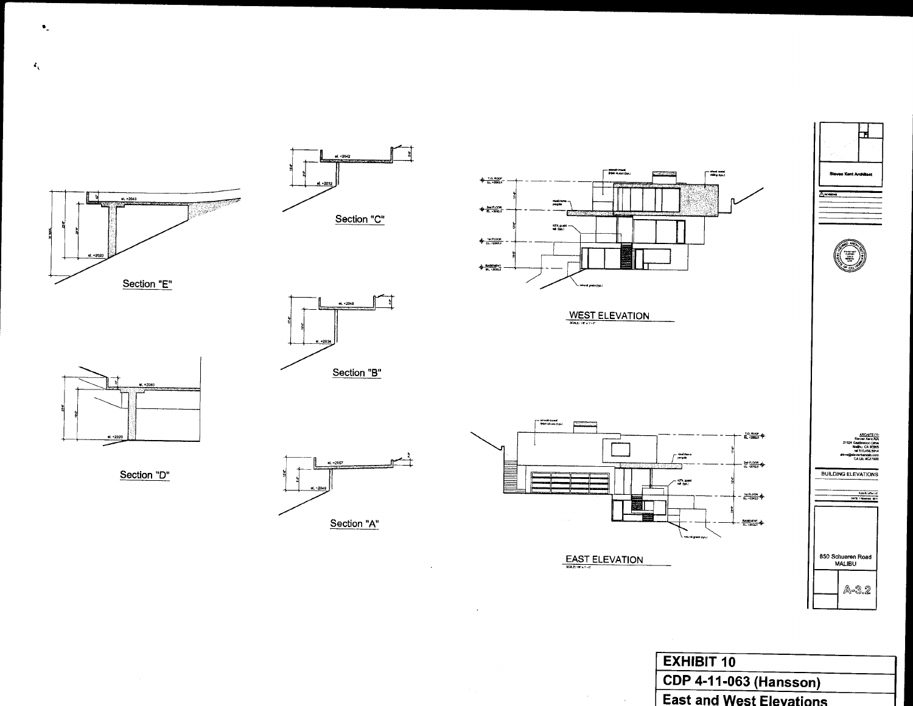

**EXHIBIT 10 CDP 4-11-063 (Hansson)** East and West Elevations

 $\bullet_{\omega}$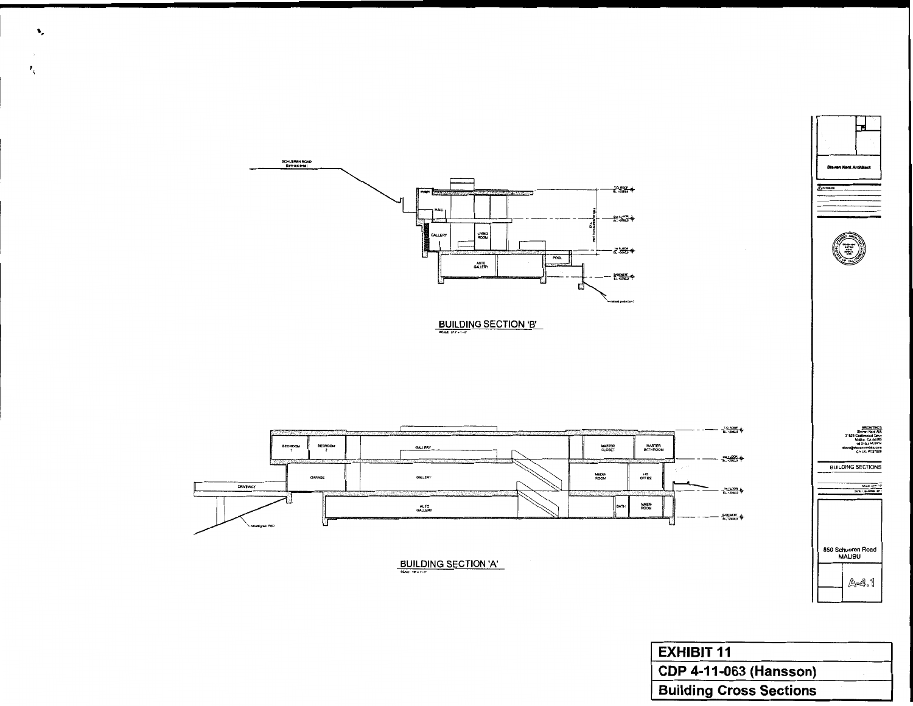

 $\mathbf{v}_\mathrm{e}$ 

 $\sim$  $\mathbf{Z}_{\mathrm{t}}$ 

BUILDING SECTION 'B'







ARCHITEC<br>van Kant Al Malibu, CA 9026<br>1el 310,455,591<br>foundated also CA Lic, #C27000

**BUILDING SECTIONS** 

850 Schueren Road<br>MALIBU A-4.1

| <b>EXHIBIT 11</b>              |  |
|--------------------------------|--|
| <b>CDP 4-11-063 (Hansson)</b>  |  |
| <b>Building Cross Sections</b> |  |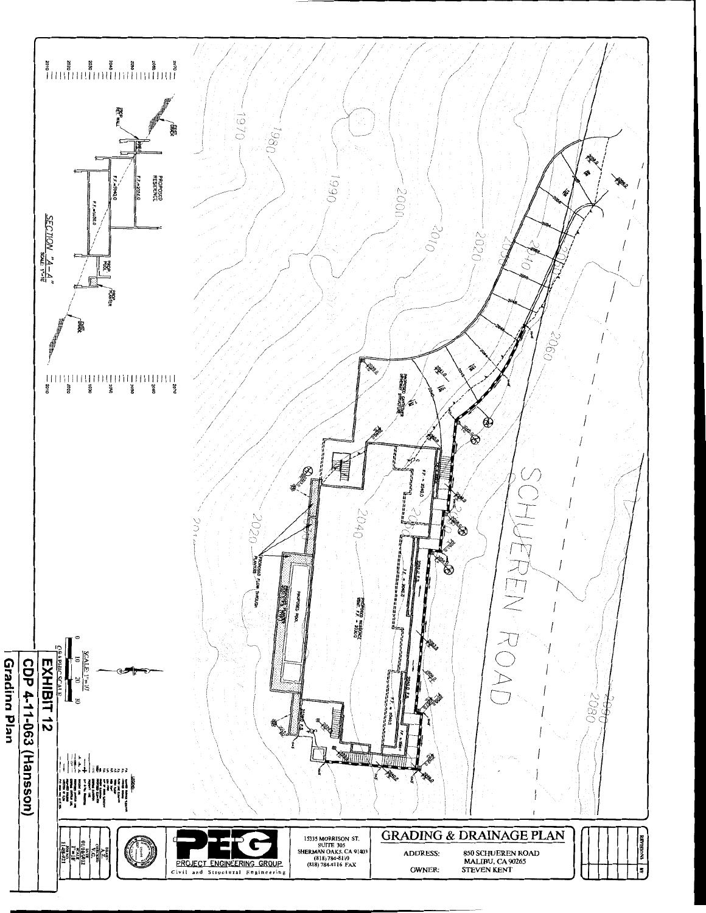